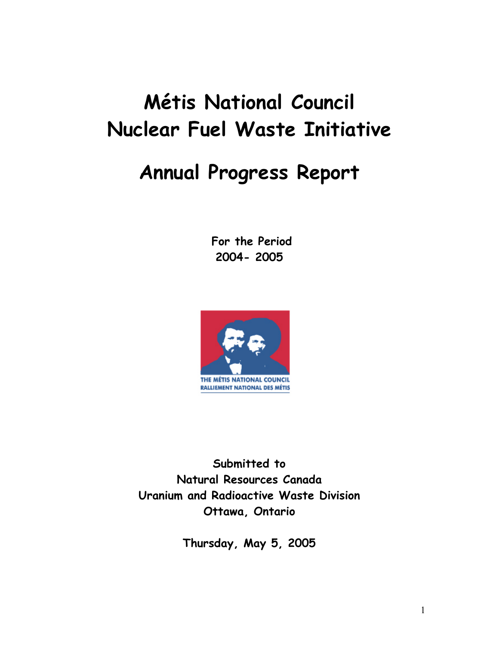# **Métis National Council Nuclear Fuel Waste Initiative**

# **Annual Progress Report**

 **For the Period 2004- 2005** 



**Submitted to Natural Resources Canada Uranium and Radioactive Waste Division Ottawa, Ontario** 

**Thursday, May 5, 2005**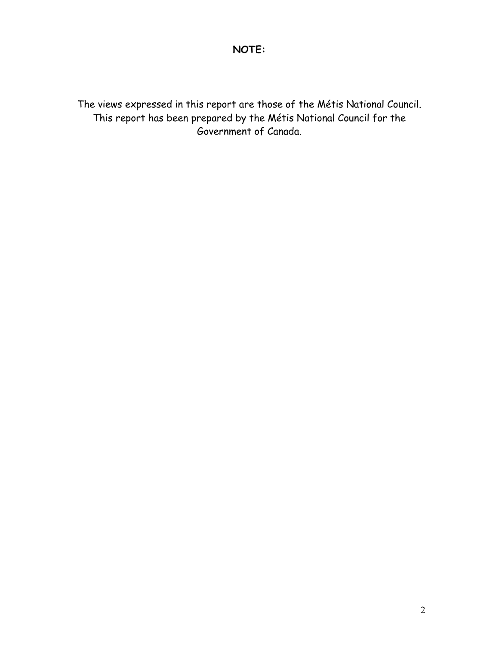## **NOTE:**

The views expressed in this report are those of the Métis National Council. This report has been prepared by the Métis National Council for the Government of Canada.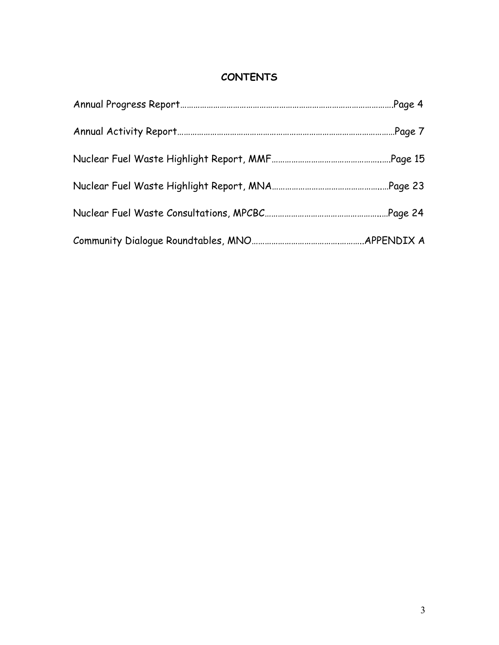## **CONTENTS**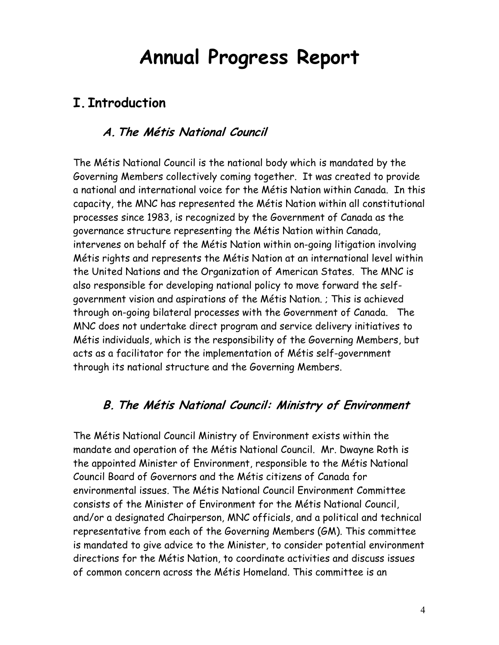# **Annual Progress Report**

# **I. Introduction**

## **A.The Métis National Council**

The Métis National Council is the national body which is mandated by the Governing Members collectively coming together. It was created to provide a national and international voice for the Métis Nation within Canada. In this capacity, the MNC has represented the Métis Nation within all constitutional processes since 1983, is recognized by the Government of Canada as the governance structure representing the Métis Nation within Canada, intervenes on behalf of the Métis Nation within on-going litigation involving Métis rights and represents the Métis Nation at an international level within the United Nations and the Organization of American States. The MNC is also responsible for developing national policy to move forward the selfgovernment vision and aspirations of the Métis Nation. ; This is achieved through on-going bilateral processes with the Government of Canada. The MNC does not undertake direct program and service delivery initiatives to Métis individuals, which is the responsibility of the Governing Members, but acts as a facilitator for the implementation of Métis self-government through its national structure and the Governing Members.

## **B. The Métis National Council: Ministry of Environment**

The Métis National Council Ministry of Environment exists within the mandate and operation of the Métis National Council. Mr. Dwayne Roth is the appointed Minister of Environment, responsible to the Métis National Council Board of Governors and the Métis citizens of Canada for environmental issues. The Métis National Council Environment Committee consists of the Minister of Environment for the Métis National Council, and/or a designated Chairperson, MNC officials, and a political and technical representative from each of the Governing Members (GM). This committee is mandated to give advice to the Minister, to consider potential environment directions for the Métis Nation, to coordinate activities and discuss issues of common concern across the Métis Homeland. This committee is an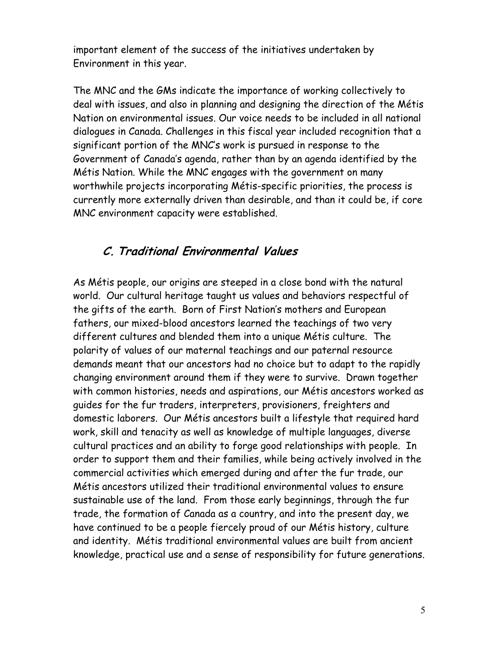important element of the success of the initiatives undertaken by Environment in this year.

The MNC and the GMs indicate the importance of working collectively to deal with issues, and also in planning and designing the direction of the Métis Nation on environmental issues. Our voice needs to be included in all national dialogues in Canada. Challenges in this fiscal year included recognition that a significant portion of the MNC's work is pursued in response to the Government of Canada's agenda, rather than by an agenda identified by the Métis Nation. While the MNC engages with the government on many worthwhile projects incorporating Métis-specific priorities, the process is currently more externally driven than desirable, and than it could be, if core MNC environment capacity were established.

## **C. Traditional Environmental Values**

As Métis people, our origins are steeped in a close bond with the natural world. Our cultural heritage taught us values and behaviors respectful of the gifts of the earth. Born of First Nation's mothers and European fathers, our mixed-blood ancestors learned the teachings of two very different cultures and blended them into a unique Métis culture. The polarity of values of our maternal teachings and our paternal resource demands meant that our ancestors had no choice but to adapt to the rapidly changing environment around them if they were to survive. Drawn together with common histories, needs and aspirations, our Métis ancestors worked as guides for the fur traders, interpreters, provisioners, freighters and domestic laborers. Our Métis ancestors built a lifestyle that required hard work, skill and tenacity as well as knowledge of multiple languages, diverse cultural practices and an ability to forge good relationships with people. In order to support them and their families, while being actively involved in the commercial activities which emerged during and after the fur trade, our Métis ancestors utilized their traditional environmental values to ensure sustainable use of the land. From those early beginnings, through the fur trade, the formation of Canada as a country, and into the present day, we have continued to be a people fiercely proud of our Métis history, culture and identity. Métis traditional environmental values are built from ancient knowledge, practical use and a sense of responsibility for future generations.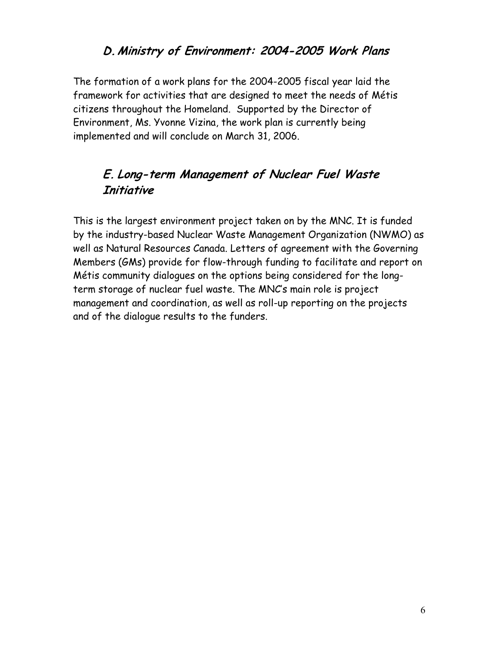## **D.Ministry of Environment: 2004-2005 Work Plans**

The formation of a work plans for the 2004-2005 fiscal year laid the framework for activities that are designed to meet the needs of Métis citizens throughout the Homeland. Supported by the Director of Environment, Ms. Yvonne Vizina, the work plan is currently being implemented and will conclude on March 31, 2006.

## **E. Long-term Management of Nuclear Fuel Waste Initiative**

This is the largest environment project taken on by the MNC. It is funded by the industry-based Nuclear Waste Management Organization (NWMO) as well as Natural Resources Canada. Letters of agreement with the Governing Members (GMs) provide for flow-through funding to facilitate and report on Métis community dialogues on the options being considered for the longterm storage of nuclear fuel waste. The MNC's main role is project management and coordination, as well as roll-up reporting on the projects and of the dialogue results to the funders.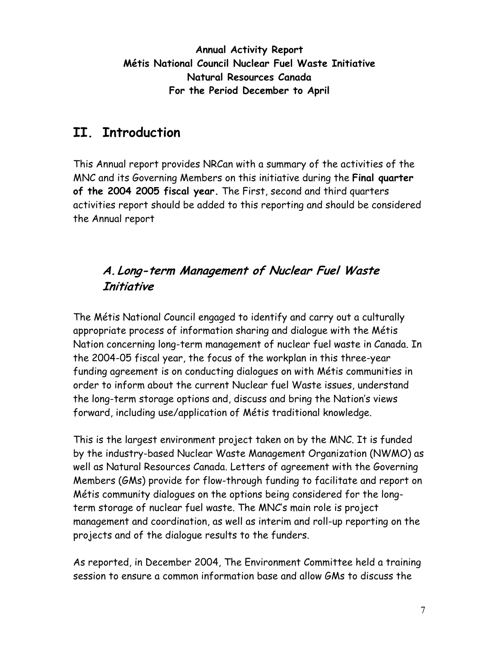**Annual Activity Report Métis National Council Nuclear Fuel Waste Initiative Natural Resources Canada For the Period December to April** 

# **II. Introduction**

This Annual report provides NRCan with a summary of the activities of the MNC and its Governing Members on this initiative during the **Final quarter of the 2004 2005 fiscal year.** The First, second and third quarters activities report should be added to this reporting and should be considered the Annual report

# **A.Long-term Management of Nuclear Fuel Waste Initiative**

The Métis National Council engaged to identify and carry out a culturally appropriate process of information sharing and dialogue with the Métis Nation concerning long-term management of nuclear fuel waste in Canada. In the 2004-05 fiscal year, the focus of the workplan in this three-year funding agreement is on conducting dialogues on with Métis communities in order to inform about the current Nuclear fuel Waste issues, understand the long-term storage options and, discuss and bring the Nation's views forward, including use/application of Métis traditional knowledge.

This is the largest environment project taken on by the MNC. It is funded by the industry-based Nuclear Waste Management Organization (NWMO) as well as Natural Resources Canada. Letters of agreement with the Governing Members (GMs) provide for flow-through funding to facilitate and report on Métis community dialogues on the options being considered for the longterm storage of nuclear fuel waste. The MNC's main role is project management and coordination, as well as interim and roll-up reporting on the projects and of the dialogue results to the funders.

As reported, in December 2004, The Environment Committee held a training session to ensure a common information base and allow GMs to discuss the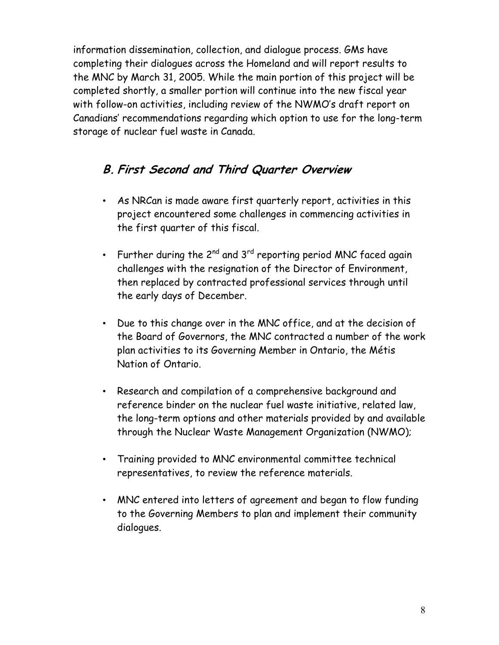information dissemination, collection, and dialogue process. GMs have completing their dialogues across the Homeland and will report results to the MNC by March 31, 2005. While the main portion of this project will be completed shortly, a smaller portion will continue into the new fiscal year with follow-on activities, including review of the NWMO's draft report on Canadians' recommendations regarding which option to use for the long-term storage of nuclear fuel waste in Canada.

## **B. First Second and Third Quarter Overview**

- As NRCan is made aware first quarterly report, activities in this project encountered some challenges in commencing activities in the first quarter of this fiscal.
- Further during the  $2^{nd}$  and  $3^{rd}$  reporting period MNC faced again challenges with the resignation of the Director of Environment, then replaced by contracted professional services through until the early days of December.
- Due to this change over in the MNC office, and at the decision of the Board of Governors, the MNC contracted a number of the work plan activities to its Governing Member in Ontario, the Métis Nation of Ontario.
- Research and compilation of a comprehensive background and reference binder on the nuclear fuel waste initiative, related law, the long-term options and other materials provided by and available through the Nuclear Waste Management Organization (NWMO);
- Training provided to MNC environmental committee technical representatives, to review the reference materials.
- MNC entered into letters of agreement and began to flow funding to the Governing Members to plan and implement their community dialogues.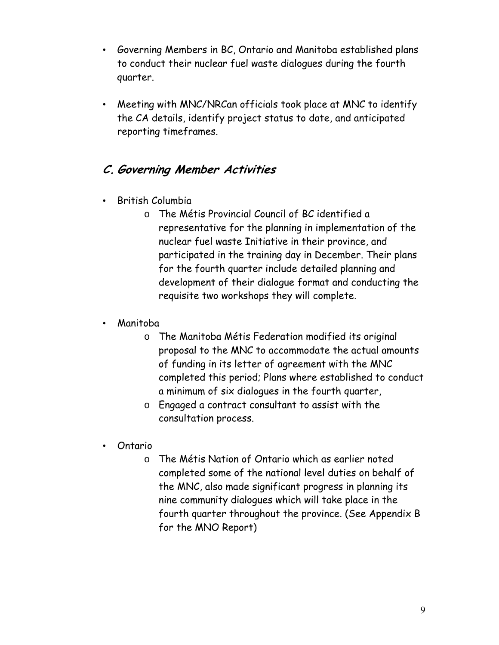- Governing Members in BC, Ontario and Manitoba established plans to conduct their nuclear fuel waste dialogues during the fourth quarter.
- Meeting with MNC/NRCan officials took place at MNC to identify the CA details, identify project status to date, and anticipated reporting timeframes.

## **C. Governing Member Activities**

- British Columbia
	- o The Métis Provincial Council of BC identified a representative for the planning in implementation of the nuclear fuel waste Initiative in their province, and participated in the training day in December. Their plans for the fourth quarter include detailed planning and development of their dialogue format and conducting the requisite two workshops they will complete.
- Manitoba
	- o The Manitoba Métis Federation modified its original proposal to the MNC to accommodate the actual amounts of funding in its letter of agreement with the MNC completed this period; Plans where established to conduct a minimum of six dialogues in the fourth quarter,
	- o Engaged a contract consultant to assist with the consultation process.
- Ontario
	- o The Métis Nation of Ontario which as earlier noted completed some of the national level duties on behalf of the MNC, also made significant progress in planning its nine community dialogues which will take place in the fourth quarter throughout the province. (See Appendix B for the MNO Report)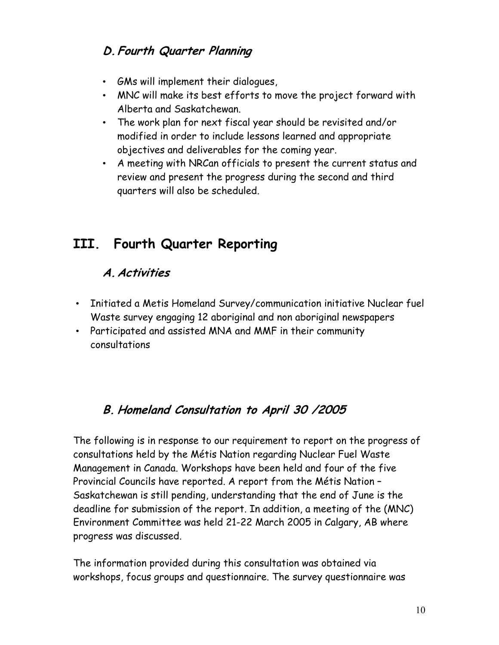# **D.Fourth Quarter Planning**

- GMs will implement their dialogues,
- MNC will make its best efforts to move the project forward with Alberta and Saskatchewan.
- The work plan for next fiscal year should be revisited and/or modified in order to include lessons learned and appropriate objectives and deliverables for the coming year.
- A meeting with NRCan officials to present the current status and review and present the progress during the second and third quarters will also be scheduled.

# **III. Fourth Quarter Reporting**

# **A.Activities**

- Initiated a Metis Homeland Survey/communication initiative Nuclear fuel Waste survey engaging 12 aboriginal and non aboriginal newspapers
- Participated and assisted MNA and MMF in their community consultations

# **B. Homeland Consultation to April 30 /2005**

The following is in response to our requirement to report on the progress of consultations held by the Métis Nation regarding Nuclear Fuel Waste Management in Canada. Workshops have been held and four of the five Provincial Councils have reported. A report from the Métis Nation – Saskatchewan is still pending, understanding that the end of June is the deadline for submission of the report. In addition, a meeting of the (MNC) Environment Committee was held 21-22 March 2005 in Calgary, AB where progress was discussed.

The information provided during this consultation was obtained via workshops, focus groups and questionnaire. The survey questionnaire was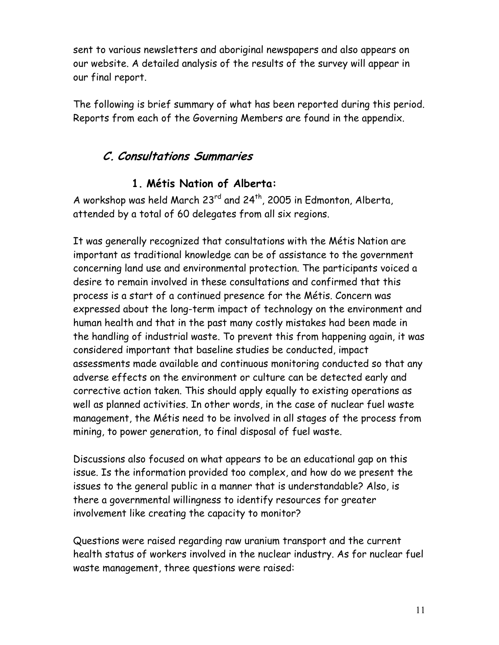sent to various newsletters and aboriginal newspapers and also appears on our website. A detailed analysis of the results of the survey will appear in our final report.

The following is brief summary of what has been reported during this period. Reports from each of the Governing Members are found in the appendix.

## **C. Consultations Summaries**

## **1. Métis Nation of Alberta:**

A workshop was held March  $23^{rd}$  and  $24^{th}$ , 2005 in Edmonton, Alberta, attended by a total of 60 delegates from all six regions.

It was generally recognized that consultations with the Métis Nation are important as traditional knowledge can be of assistance to the government concerning land use and environmental protection. The participants voiced a desire to remain involved in these consultations and confirmed that this process is a start of a continued presence for the Métis. Concern was expressed about the long-term impact of technology on the environment and human health and that in the past many costly mistakes had been made in the handling of industrial waste. To prevent this from happening again, it was considered important that baseline studies be conducted, impact assessments made available and continuous monitoring conducted so that any adverse effects on the environment or culture can be detected early and corrective action taken. This should apply equally to existing operations as well as planned activities. In other words, in the case of nuclear fuel waste management, the Métis need to be involved in all stages of the process from mining, to power generation, to final disposal of fuel waste.

Discussions also focused on what appears to be an educational gap on this issue. Is the information provided too complex, and how do we present the issues to the general public in a manner that is understandable? Also, is there a governmental willingness to identify resources for greater involvement like creating the capacity to monitor?

Questions were raised regarding raw uranium transport and the current health status of workers involved in the nuclear industry. As for nuclear fuel waste management, three questions were raised: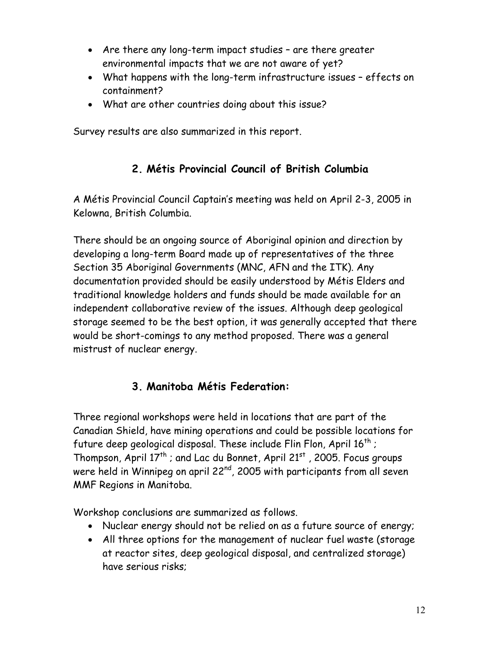- Are there any long-term impact studies are there greater environmental impacts that we are not aware of yet?
- What happens with the long-term infrastructure issues effects on containment?
- What are other countries doing about this issue?

Survey results are also summarized in this report.

## **2. Métis Provincial Council of British Columbia**

A Métis Provincial Council Captain's meeting was held on April 2-3, 2005 in Kelowna, British Columbia.

There should be an ongoing source of Aboriginal opinion and direction by developing a long-term Board made up of representatives of the three Section 35 Aboriginal Governments (MNC, AFN and the ITK). Any documentation provided should be easily understood by Métis Elders and traditional knowledge holders and funds should be made available for an independent collaborative review of the issues. Although deep geological storage seemed to be the best option, it was generally accepted that there would be short-comings to any method proposed. There was a general mistrust of nuclear energy.

## **3. Manitoba Métis Federation:**

Three regional workshops were held in locations that are part of the Canadian Shield, have mining operations and could be possible locations for future deep geological disposal. These include Flin Flon, April  $16^{th}$ ; Thompson, April  $17<sup>th</sup>$ ; and Lac du Bonnet, April 21<sup>st</sup>, 2005. Focus groups were held in Winnipeg on april 22<sup>nd</sup>, 2005 with participants from all seven MMF Regions in Manitoba.

Workshop conclusions are summarized as follows.

- Nuclear energy should not be relied on as a future source of energy;
- All three options for the management of nuclear fuel waste (storage at reactor sites, deep geological disposal, and centralized storage) have serious risks;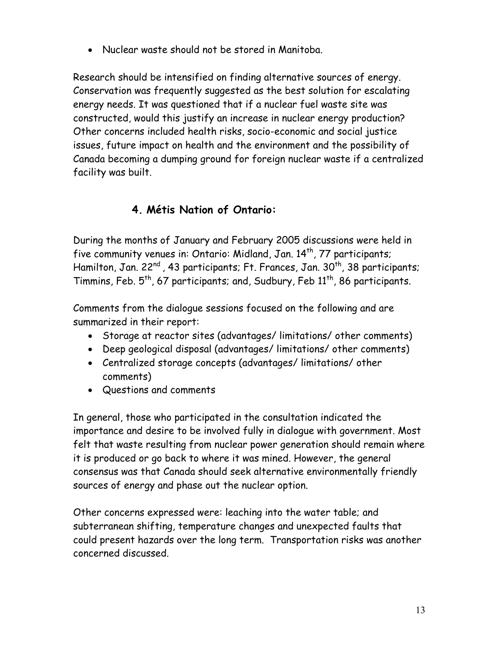• Nuclear waste should not be stored in Manitoba.

Research should be intensified on finding alternative sources of energy. Conservation was frequently suggested as the best solution for escalating energy needs. It was questioned that if a nuclear fuel waste site was constructed, would this justify an increase in nuclear energy production? Other concerns included health risks, socio-economic and social justice issues, future impact on health and the environment and the possibility of Canada becoming a dumping ground for foreign nuclear waste if a centralized facility was built.

## **4. Métis Nation of Ontario:**

During the months of January and February 2005 discussions were held in five community venues in: Ontario: Midland, Jan.  $14<sup>th</sup>$ , 77 participants; Hamilton, Jan. 22<sup>nd</sup>, 43 participants; Ft. Frances, Jan. 30<sup>th</sup>, 38 participants; Timmins, Feb.  $5^{th}$ , 67 participants; and, Sudbury, Feb  $11^{th}$ , 86 participants.

Comments from the dialogue sessions focused on the following and are summarized in their report:

- Storage at reactor sites (advantages/ limitations/ other comments)
- Deep geological disposal (advantages/ limitations/ other comments)
- Centralized storage concepts (advantages/ limitations/ other comments)
- Questions and comments

In general, those who participated in the consultation indicated the importance and desire to be involved fully in dialogue with government. Most felt that waste resulting from nuclear power generation should remain where it is produced or go back to where it was mined. However, the general consensus was that Canada should seek alternative environmentally friendly sources of energy and phase out the nuclear option.

Other concerns expressed were: leaching into the water table; and subterranean shifting, temperature changes and unexpected faults that could present hazards over the long term. Transportation risks was another concerned discussed.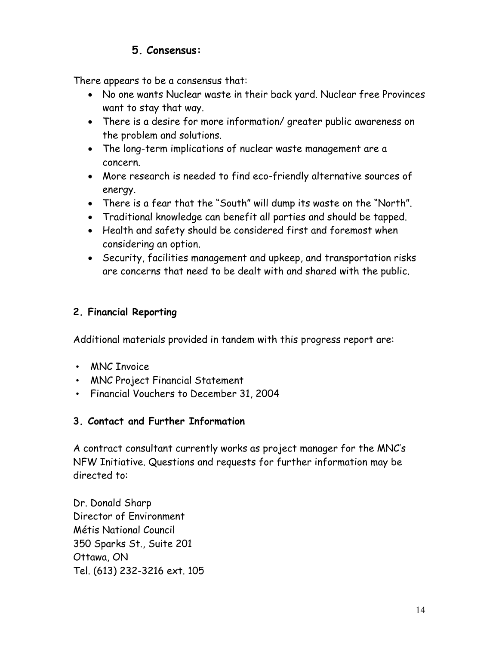## **5. Consensus:**

There appears to be a consensus that:

- No one wants Nuclear waste in their back yard. Nuclear free Provinces want to stay that way.
- There is a desire for more information/ greater public awareness on the problem and solutions.
- The long-term implications of nuclear waste management are a concern.
- More research is needed to find eco-friendly alternative sources of energy.
- There is a fear that the "South" will dump its waste on the "North".
- Traditional knowledge can benefit all parties and should be tapped.
- Health and safety should be considered first and foremost when considering an option.
- Security, facilities management and upkeep, and transportation risks are concerns that need to be dealt with and shared with the public.

## **2. Financial Reporting**

Additional materials provided in tandem with this progress report are:

- MNC Invoice
- MNC Project Financial Statement
- Financial Vouchers to December 31, 2004

## **3. Contact and Further Information**

A contract consultant currently works as project manager for the MNC's NFW Initiative. Questions and requests for further information may be directed to:

Dr. Donald Sharp Director of Environment Métis National Council 350 Sparks St., Suite 201 Ottawa, ON Tel. (613) 232-3216 ext. 105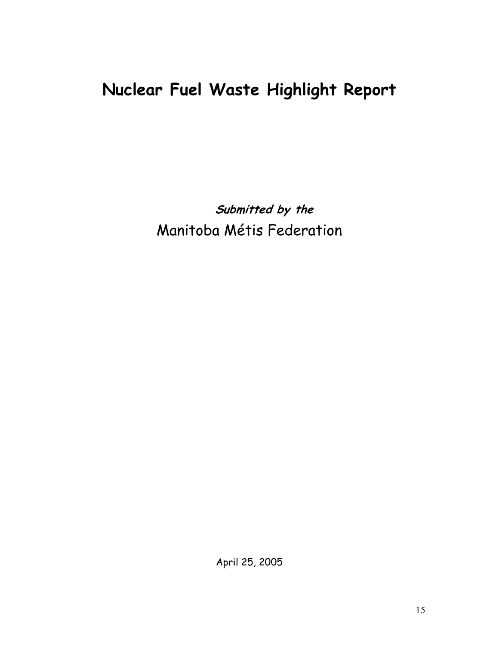# **Nuclear Fuel Waste Highlight Report**

**Submitted by the**  Manitoba Métis Federation

April 25, 2005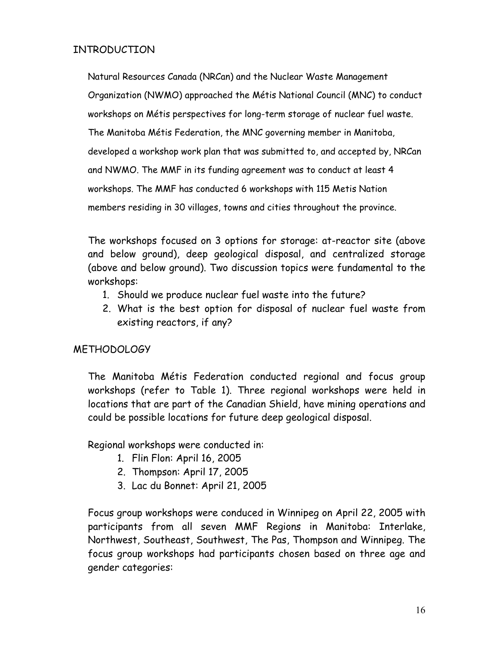### INTRODUCTION

Natural Resources Canada (NRCan) and the Nuclear Waste Management Organization (NWMO) approached the Métis National Council (MNC) to conduct workshops on Métis perspectives for long-term storage of nuclear fuel waste. The Manitoba Métis Federation, the MNC governing member in Manitoba, developed a workshop work plan that was submitted to, and accepted by, NRCan and NWMO. The MMF in its funding agreement was to conduct at least 4 workshops. The MMF has conducted 6 workshops with 115 Metis Nation members residing in 30 villages, towns and cities throughout the province.

The workshops focused on 3 options for storage: at-reactor site (above and below ground), deep geological disposal, and centralized storage (above and below ground). Two discussion topics were fundamental to the workshops:

- 1. Should we produce nuclear fuel waste into the future?
- 2. What is the best option for disposal of nuclear fuel waste from existing reactors, if any?

## METHODOLOGY

The Manitoba Métis Federation conducted regional and focus group workshops (refer to Table 1). Three regional workshops were held in locations that are part of the Canadian Shield, have mining operations and could be possible locations for future deep geological disposal.

Regional workshops were conducted in:

- 1. Flin Flon: April 16, 2005
- 2. Thompson: April 17, 2005
- 3. Lac du Bonnet: April 21, 2005

Focus group workshops were conduced in Winnipeg on April 22, 2005 with participants from all seven MMF Regions in Manitoba: Interlake, Northwest, Southeast, Southwest, The Pas, Thompson and Winnipeg. The focus group workshops had participants chosen based on three age and gender categories: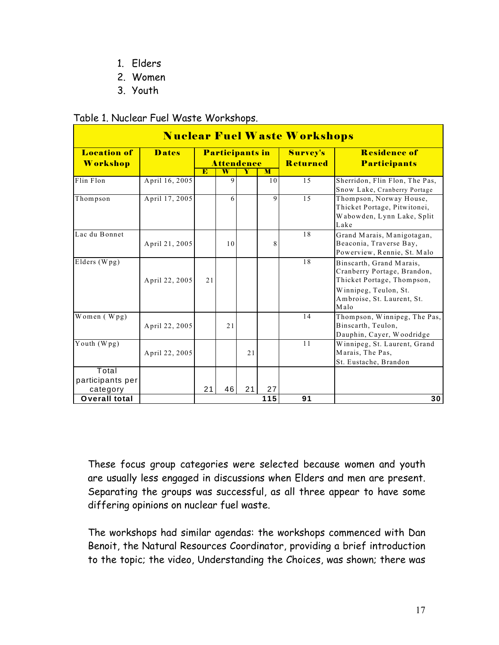- 1. Elders
- 2. Women
- 3. Youth

#### Table 1. Nuclear Fuel Waste Workshops.

| <b>Nuclear Fuel Waste Workshops</b>   |                |                                      |                         |                             |                                            |    |                                                                                                                |
|---------------------------------------|----------------|--------------------------------------|-------------------------|-----------------------------|--------------------------------------------|----|----------------------------------------------------------------------------------------------------------------|
| <b>Location of</b><br><b>Workshop</b> | <b>Dates</b>   | Participants in<br><b>Attendence</b> |                         | Survey's<br><b>Returned</b> | <b>Residence of</b><br><b>Participants</b> |    |                                                                                                                |
|                                       |                | E                                    | $\overline{\textbf{W}}$ | Y                           | M                                          |    |                                                                                                                |
| Flin Flon                             | April 16, 2005 |                                      | 9                       |                             | 10                                         | 15 | Sherridon, Flin Flon, The Pas,<br>Snow Lake, Cranberry Portage                                                 |
| Thompson                              | April 17, 2005 |                                      | 6                       |                             | 9                                          | 15 | Thompson, Norway House,<br>Thicket Portage, Pitwitonei,<br>Wabowden, Lynn Lake, Split<br>Lake                  |
| Lac du Bonnet                         | April 21, 2005 |                                      | 10                      |                             | 8                                          | 18 | Grand Marais, Manigotagan,<br>Beaconia, Traverse Bay,<br>Powerview, Rennie, St. Malo                           |
| Elders (Wpg)                          | April 22, 2005 | 21                                   |                         |                             |                                            | 18 | Binscarth, Grand Marais,<br>Cranberry Portage, Brandon,<br>Thicket Portage, Thompson,<br>Winnipeg, Teulon, St. |
|                                       |                |                                      |                         |                             |                                            |    | Ambroise, St. Laurent, St.<br>Malo                                                                             |
| Women (Wpg)                           | April 22, 2005 |                                      | 2.1                     |                             |                                            | 14 | Thompson, Winnipeg, The Pas,<br>Binscarth, Teulon,<br>Dauphin, Cayer, Woodridge                                |
| Youth $(Wpg)$                         | April 22, 2005 |                                      |                         | 21                          |                                            | 11 | Winnipeg, St. Laurent, Grand<br>Marais, The Pas,<br>St. Eustache, Brandon                                      |
| Total<br>participants per             |                |                                      |                         |                             |                                            |    |                                                                                                                |
| category                              |                | 21                                   | 46                      | 21                          | 27                                         |    |                                                                                                                |
| Overall total                         |                |                                      |                         |                             | 115                                        | 91 | 30                                                                                                             |

These focus group categories were selected because women and youth are usually less engaged in discussions when Elders and men are present. Separating the groups was successful, as all three appear to have some differing opinions on nuclear fuel waste.

The workshops had similar agendas: the workshops commenced with Dan Benoit, the Natural Resources Coordinator, providing a brief introduction to the topic; the video, Understanding the Choices, was shown; there was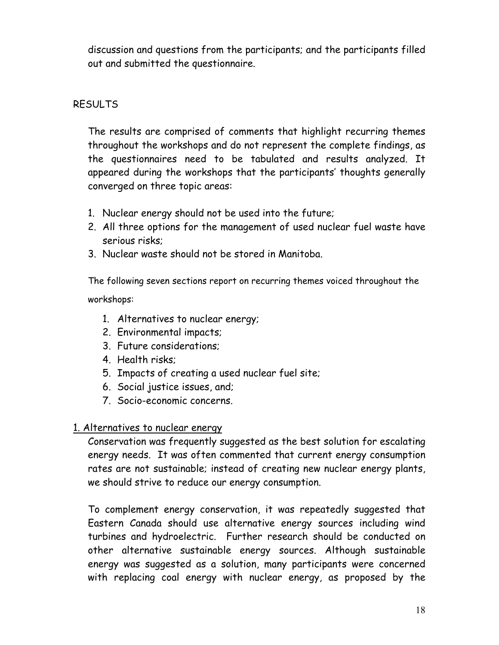discussion and questions from the participants; and the participants filled out and submitted the questionnaire.

## RESULTS

The results are comprised of comments that highlight recurring themes throughout the workshops and do not represent the complete findings, as the questionnaires need to be tabulated and results analyzed. It appeared during the workshops that the participants' thoughts generally converged on three topic areas:

- 1. Nuclear energy should not be used into the future;
- 2. All three options for the management of used nuclear fuel waste have serious risks;
- 3. Nuclear waste should not be stored in Manitoba.

The following seven sections report on recurring themes voiced throughout the workshops:

- 1. Alternatives to nuclear energy;
- 2. Environmental impacts;
- 3. Future considerations;
- 4. Health risks;
- 5. Impacts of creating a used nuclear fuel site;
- 6. Social justice issues, and;
- 7. Socio-economic concerns.

## 1. Alternatives to nuclear energy

Conservation was frequently suggested as the best solution for escalating energy needs. It was often commented that current energy consumption rates are not sustainable; instead of creating new nuclear energy plants, we should strive to reduce our energy consumption.

To complement energy conservation, it was repeatedly suggested that Eastern Canada should use alternative energy sources including wind turbines and hydroelectric. Further research should be conducted on other alternative sustainable energy sources. Although sustainable energy was suggested as a solution, many participants were concerned with replacing coal energy with nuclear energy, as proposed by the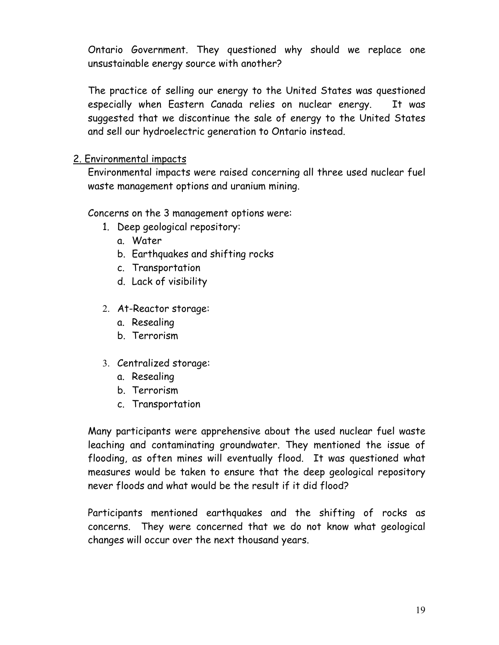Ontario Government. They questioned why should we replace one unsustainable energy source with another?

The practice of selling our energy to the United States was questioned especially when Eastern Canada relies on nuclear energy. It was suggested that we discontinue the sale of energy to the United States and sell our hydroelectric generation to Ontario instead.

### 2. Environmental impacts

Environmental impacts were raised concerning all three used nuclear fuel waste management options and uranium mining.

Concerns on the 3 management options were:

- 1. Deep geological repository:
	- a. Water
	- b. Earthquakes and shifting rocks
	- c. Transportation
	- d. Lack of visibility
- 2. At-Reactor storage:
	- a. Resealing
	- b. Terrorism
- 3. Centralized storage:
	- a. Resealing
	- b. Terrorism
	- c. Transportation

Many participants were apprehensive about the used nuclear fuel waste leaching and contaminating groundwater. They mentioned the issue of flooding, as often mines will eventually flood. It was questioned what measures would be taken to ensure that the deep geological repository never floods and what would be the result if it did flood?

Participants mentioned earthquakes and the shifting of rocks as concerns. They were concerned that we do not know what geological changes will occur over the next thousand years.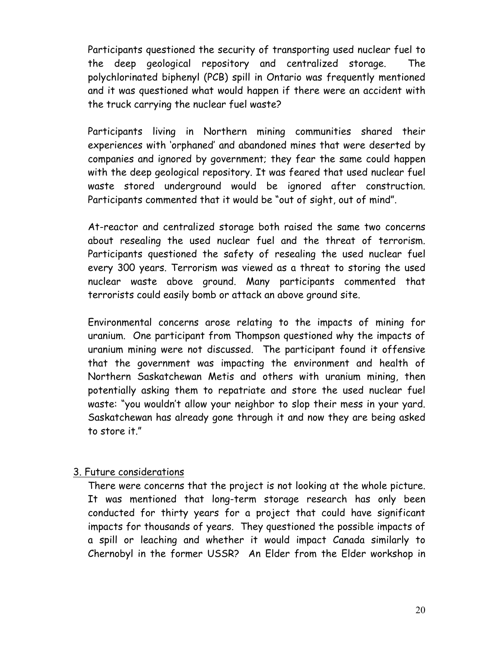Participants questioned the security of transporting used nuclear fuel to the deep geological repository and centralized storage. The polychlorinated biphenyl (PCB) spill in Ontario was frequently mentioned and it was questioned what would happen if there were an accident with the truck carrying the nuclear fuel waste?

Participants living in Northern mining communities shared their experiences with 'orphaned' and abandoned mines that were deserted by companies and ignored by government; they fear the same could happen with the deep geological repository. It was feared that used nuclear fuel waste stored underground would be ignored after construction. Participants commented that it would be "out of sight, out of mind".

At-reactor and centralized storage both raised the same two concerns about resealing the used nuclear fuel and the threat of terrorism. Participants questioned the safety of resealing the used nuclear fuel every 300 years. Terrorism was viewed as a threat to storing the used nuclear waste above ground. Many participants commented that terrorists could easily bomb or attack an above ground site.

Environmental concerns arose relating to the impacts of mining for uranium. One participant from Thompson questioned why the impacts of uranium mining were not discussed. The participant found it offensive that the government was impacting the environment and health of Northern Saskatchewan Metis and others with uranium mining, then potentially asking them to repatriate and store the used nuclear fuel waste: "you wouldn't allow your neighbor to slop their mess in your yard. Saskatchewan has already gone through it and now they are being asked to store it."

#### 3. Future considerations

There were concerns that the project is not looking at the whole picture. It was mentioned that long-term storage research has only been conducted for thirty years for a project that could have significant impacts for thousands of years. They questioned the possible impacts of a spill or leaching and whether it would impact Canada similarly to Chernobyl in the former USSR? An Elder from the Elder workshop in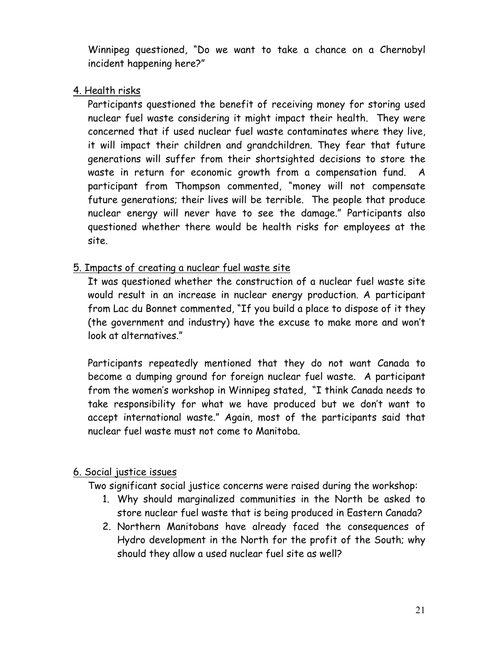Winnipeg questioned, "Do we want to take a chance on a Chernobyl incident happening here?"

4. Health risks

Participants questioned the benefit of receiving money for storing used nuclear fuel waste considering it might impact their health. They were concerned that if used nuclear fuel waste contaminates where they live, it will impact their children and grandchildren. They fear that future generations will suffer from their shortsighted decisions to store the waste in return for economic growth from a compensation fund. A participant from Thompson commented, "money will not compensate future generations; their lives will be terrible. The people that produce nuclear energy will never have to see the damage." Participants also questioned whether there would be health risks for employees at the site.

## 5. Impacts of creating a nuclear fuel waste site

It was questioned whether the construction of a nuclear fuel waste site would result in an increase in nuclear energy production. A participant from Lac du Bonnet commented, "If you build a place to dispose of it they (the government and industry) have the excuse to make more and won't look at alternatives."

Participants repeatedly mentioned that they do not want Canada to become a dumping ground for foreign nuclear fuel waste. A participant from the women's workshop in Winnipeg stated, "I think Canada needs to take responsibility for what we have produced but we don't want to accept international waste." Again, most of the participants said that nuclear fuel waste must not come to Manitoba.

## 6. Social justice issues

Two significant social justice concerns were raised during the workshop:

- 1. Why should marginalized communities in the North be asked to store nuclear fuel waste that is being produced in Eastern Canada?
- 2. Northern Manitobans have already faced the consequences of Hydro development in the North for the profit of the South; why should they allow a used nuclear fuel site as well?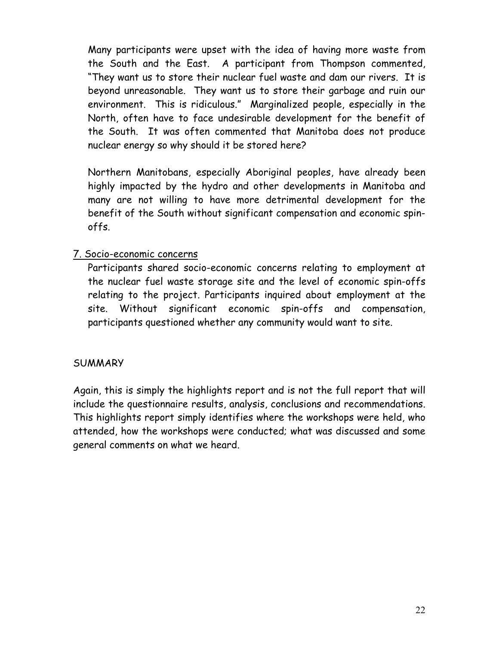Many participants were upset with the idea of having more waste from the South and the East. A participant from Thompson commented, "They want us to store their nuclear fuel waste and dam our rivers. It is beyond unreasonable. They want us to store their garbage and ruin our environment. This is ridiculous." Marginalized people, especially in the North, often have to face undesirable development for the benefit of the South. It was often commented that Manitoba does not produce nuclear energy so why should it be stored here?

Northern Manitobans, especially Aboriginal peoples, have already been highly impacted by the hydro and other developments in Manitoba and many are not willing to have more detrimental development for the benefit of the South without significant compensation and economic spinoffs.

#### 7. Socio-economic concerns

Participants shared socio-economic concerns relating to employment at the nuclear fuel waste storage site and the level of economic spin-offs relating to the project. Participants inquired about employment at the site. Without significant economic spin-offs and compensation, participants questioned whether any community would want to site.

#### **SUMMARY**

Again, this is simply the highlights report and is not the full report that will include the questionnaire results, analysis, conclusions and recommendations. This highlights report simply identifies where the workshops were held, who attended, how the workshops were conducted; what was discussed and some general comments on what we heard.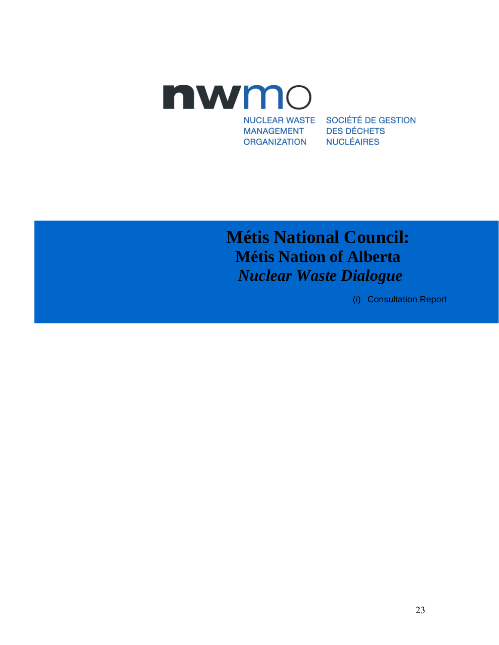

**NUCLEAR WASTE MANAGEMENT ORGANIZATION** 

SOCIÉTÉ DE GESTION **DES DÉCHETS NUCLÉAIRES** 

# **Métis National Council: Métis Nation of Alberta**  *Nuclear Waste Dialogue*

(i) Consultation Report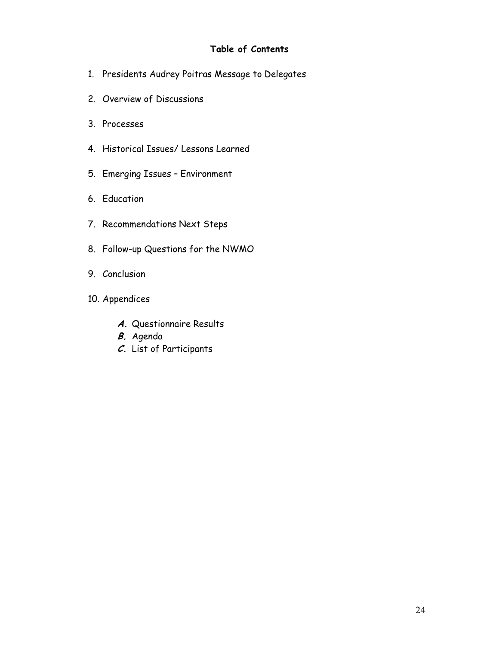#### **Table of Contents**

- 1. Presidents Audrey Poitras Message to Delegates
- 2. Overview of Discussions
- 3. Processes
- 4. Historical Issues/ Lessons Learned
- 5. Emerging Issues Environment
- 6. Education
- 7. Recommendations Next Steps
- 8. Follow-up Questions for the NWMO
- 9. Conclusion
- 10. Appendices
	- **A.** Questionnaire Results
	- **B.** Agenda
	- **C.** List of Participants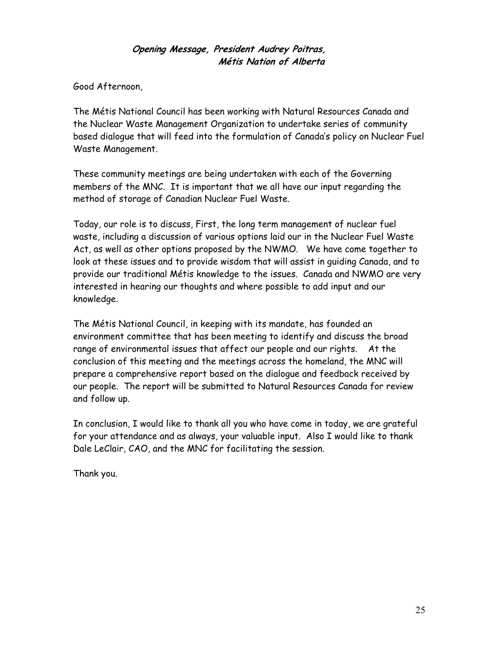#### **Opening Message, President Audrey Poitras, Métis Nation of Alberta**

Good Afternoon,

The Métis National Council has been working with Natural Resources Canada and the Nuclear Waste Management Organization to undertake series of community based dialogue that will feed into the formulation of Canada's policy on Nuclear Fuel Waste Management.

These community meetings are being undertaken with each of the Governing members of the MNC. It is important that we all have our input regarding the method of storage of Canadian Nuclear Fuel Waste.

Today, our role is to discuss, First, the long term management of nuclear fuel waste, including a discussion of various options laid our in the Nuclear Fuel Waste Act, as well as other options proposed by the NWMO. We have come together to look at these issues and to provide wisdom that will assist in guiding Canada, and to provide our traditional Métis knowledge to the issues. Canada and NWMO are very interested in hearing our thoughts and where possible to add input and our knowledge.

The Métis National Council, in keeping with its mandate, has founded an environment committee that has been meeting to identify and discuss the broad range of environmental issues that affect our people and our rights. At the conclusion of this meeting and the meetings across the homeland, the MNC will prepare a comprehensive report based on the dialogue and feedback received by our people. The report will be submitted to Natural Resources Canada for review and follow up.

In conclusion, I would like to thank all you who have come in today, we are grateful for your attendance and as always, your valuable input. Also I would like to thank Dale LeClair, CAO, and the MNC for facilitating the session.

Thank you.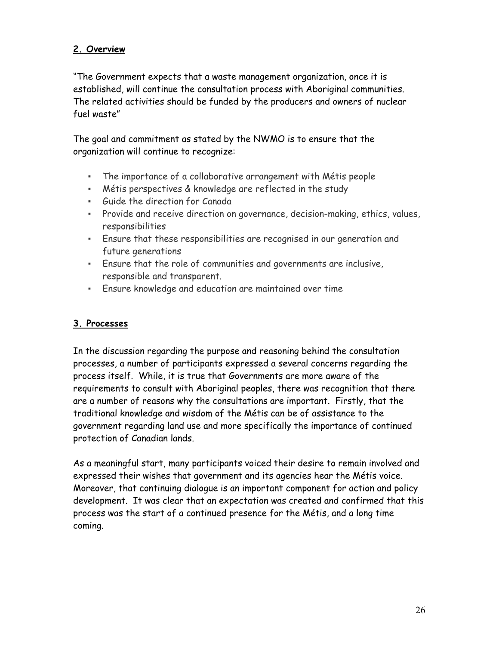#### **2. Overview**

"The Government expects that a waste management organization, once it is established, will continue the consultation process with Aboriginal communities. The related activities should be funded by the producers and owners of nuclear fuel waste"

The goal and commitment as stated by the NWMO is to ensure that the organization will continue to recognize:

- The importance of a collaborative arrangement with Métis people
- Métis perspectives & knowledge are reflected in the study
- Guide the direction for Canada
- Provide and receive direction on governance, decision-making, ethics, values, responsibilities
- Ensure that these responsibilities are recognised in our generation and future generations
- Ensure that the role of communities and governments are inclusive, responsible and transparent.
- Ensure knowledge and education are maintained over time

#### **3. Processes**

In the discussion regarding the purpose and reasoning behind the consultation processes, a number of participants expressed a several concerns regarding the process itself. While, it is true that Governments are more aware of the requirements to consult with Aboriginal peoples, there was recognition that there are a number of reasons why the consultations are important. Firstly, that the traditional knowledge and wisdom of the Métis can be of assistance to the government regarding land use and more specifically the importance of continued protection of Canadian lands.

As a meaningful start, many participants voiced their desire to remain involved and expressed their wishes that government and its agencies hear the Métis voice. Moreover, that continuing dialogue is an important component for action and policy development. It was clear that an expectation was created and confirmed that this process was the start of a continued presence for the Métis, and a long time coming.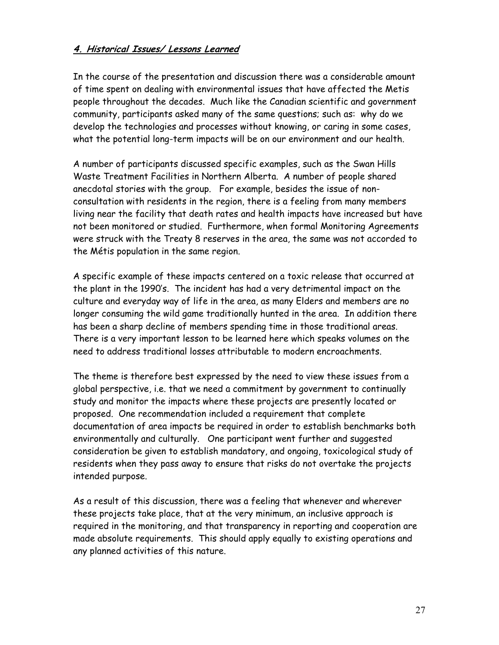#### **4. Historical Issues/ Lessons Learned**

In the course of the presentation and discussion there was a considerable amount of time spent on dealing with environmental issues that have affected the Metis people throughout the decades. Much like the Canadian scientific and government community, participants asked many of the same questions; such as: why do we develop the technologies and processes without knowing, or caring in some cases, what the potential long-term impacts will be on our environment and our health.

A number of participants discussed specific examples, such as the Swan Hills Waste Treatment Facilities in Northern Alberta. A number of people shared anecdotal stories with the group. For example, besides the issue of nonconsultation with residents in the region, there is a feeling from many members living near the facility that death rates and health impacts have increased but have not been monitored or studied. Furthermore, when formal Monitoring Agreements were struck with the Treaty 8 reserves in the area, the same was not accorded to the Métis population in the same region.

A specific example of these impacts centered on a toxic release that occurred at the plant in the 1990's. The incident has had a very detrimental impact on the culture and everyday way of life in the area, as many Elders and members are no longer consuming the wild game traditionally hunted in the area. In addition there has been a sharp decline of members spending time in those traditional areas. There is a very important lesson to be learned here which speaks volumes on the need to address traditional losses attributable to modern encroachments.

The theme is therefore best expressed by the need to view these issues from a global perspective, i.e. that we need a commitment by government to continually study and monitor the impacts where these projects are presently located or proposed. One recommendation included a requirement that complete documentation of area impacts be required in order to establish benchmarks both environmentally and culturally. One participant went further and suggested consideration be given to establish mandatory, and ongoing, toxicological study of residents when they pass away to ensure that risks do not overtake the projects intended purpose.

As a result of this discussion, there was a feeling that whenever and wherever these projects take place, that at the very minimum, an inclusive approach is required in the monitoring, and that transparency in reporting and cooperation are made absolute requirements. This should apply equally to existing operations and any planned activities of this nature.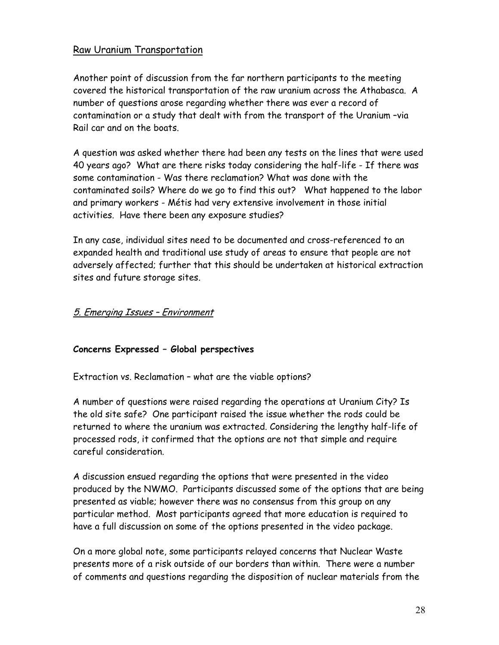#### Raw Uranium Transportation

Another point of discussion from the far northern participants to the meeting covered the historical transportation of the raw uranium across the Athabasca. A number of questions arose regarding whether there was ever a record of contamination or a study that dealt with from the transport of the Uranium –via Rail car and on the boats.

A question was asked whether there had been any tests on the lines that were used 40 years ago? What are there risks today considering the half-life - If there was some contamination - Was there reclamation? What was done with the contaminated soils? Where do we go to find this out? What happened to the labor and primary workers - Métis had very extensive involvement in those initial activities. Have there been any exposure studies?

In any case, individual sites need to be documented and cross-referenced to an expanded health and traditional use study of areas to ensure that people are not adversely affected; further that this should be undertaken at historical extraction sites and future storage sites.

#### 5. Emerging Issues – Environment

#### **Concerns Expressed – Global perspectives**

Extraction vs. Reclamation – what are the viable options?

A number of questions were raised regarding the operations at Uranium City? Is the old site safe? One participant raised the issue whether the rods could be returned to where the uranium was extracted. Considering the lengthy half-life of processed rods, it confirmed that the options are not that simple and require careful consideration.

A discussion ensued regarding the options that were presented in the video produced by the NWMO. Participants discussed some of the options that are being presented as viable; however there was no consensus from this group on any particular method. Most participants agreed that more education is required to have a full discussion on some of the options presented in the video package.

On a more global note, some participants relayed concerns that Nuclear Waste presents more of a risk outside of our borders than within. There were a number of comments and questions regarding the disposition of nuclear materials from the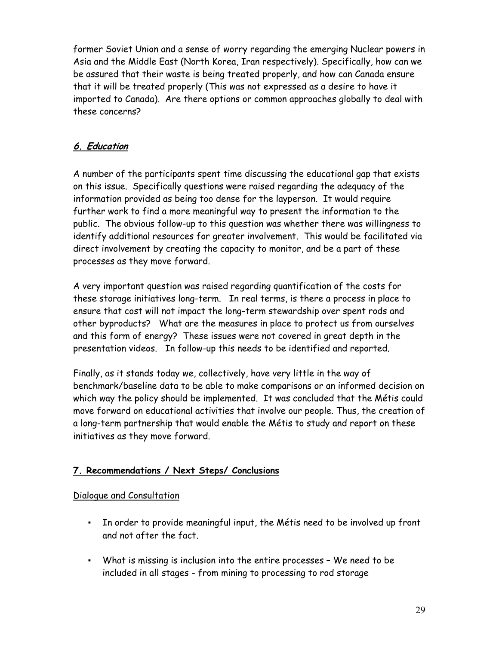former Soviet Union and a sense of worry regarding the emerging Nuclear powers in Asia and the Middle East (North Korea, Iran respectively). Specifically, how can we be assured that their waste is being treated properly, and how can Canada ensure that it will be treated properly (This was not expressed as a desire to have it imported to Canada). Are there options or common approaches globally to deal with these concerns?

## **6. Education**

A number of the participants spent time discussing the educational gap that exists on this issue. Specifically questions were raised regarding the adequacy of the information provided as being too dense for the layperson. It would require further work to find a more meaningful way to present the information to the public. The obvious follow-up to this question was whether there was willingness to identify additional resources for greater involvement. This would be facilitated via direct involvement by creating the capacity to monitor, and be a part of these processes as they move forward.

A very important question was raised regarding quantification of the costs for these storage initiatives long-term. In real terms, is there a process in place to ensure that cost will not impact the long-term stewardship over spent rods and other byproducts? What are the measures in place to protect us from ourselves and this form of energy? These issues were not covered in great depth in the presentation videos. In follow-up this needs to be identified and reported.

Finally, as it stands today we, collectively, have very little in the way of benchmark/baseline data to be able to make comparisons or an informed decision on which way the policy should be implemented. It was concluded that the Métis could move forward on educational activities that involve our people. Thus, the creation of a long-term partnership that would enable the Métis to study and report on these initiatives as they move forward.

## **7. Recommendations / Next Steps/ Conclusions**

#### Dialogue and Consultation

- In order to provide meaningful input, the Métis need to be involved up front and not after the fact.
- What is missing is inclusion into the entire processes We need to be included in all stages - from mining to processing to rod storage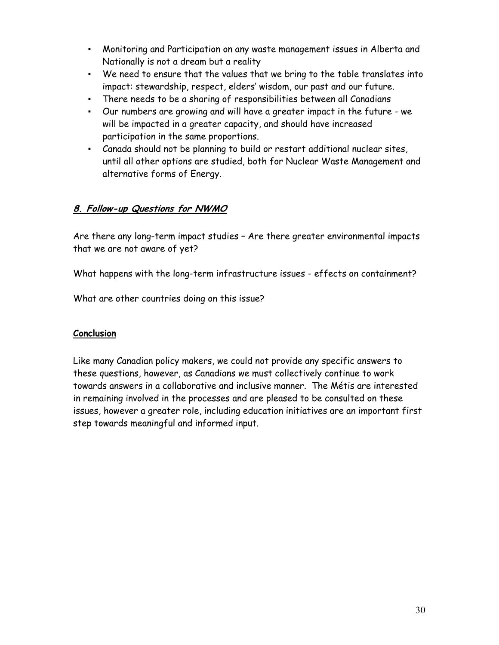- Monitoring and Participation on any waste management issues in Alberta and Nationally is not a dream but a reality
- We need to ensure that the values that we bring to the table translates into impact: stewardship, respect, elders' wisdom, our past and our future.
- There needs to be a sharing of responsibilities between all Canadians
- Our numbers are growing and will have a greater impact in the future we will be impacted in a greater capacity, and should have increased participation in the same proportions.
- Canada should not be planning to build or restart additional nuclear sites, until all other options are studied, both for Nuclear Waste Management and alternative forms of Energy.

#### **8. Follow-up Questions for NWMO**

Are there any long-term impact studies – Are there greater environmental impacts that we are not aware of yet?

What happens with the long-term infrastructure issues - effects on containment?

What are other countries doing on this issue?

#### **Conclusion**

Like many Canadian policy makers, we could not provide any specific answers to these questions, however, as Canadians we must collectively continue to work towards answers in a collaborative and inclusive manner. The Métis are interested in remaining involved in the processes and are pleased to be consulted on these issues, however a greater role, including education initiatives are an important first step towards meaningful and informed input.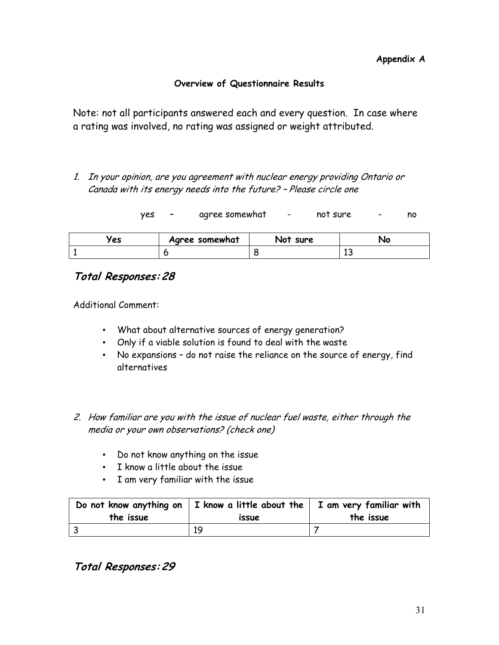#### **Overview of Questionnaire Results**

Note: not all participants answered each and every question. In case where a rating was involved, no rating was assigned or weight attributed.

1. In your opinion, are you agreement with nuclear energy providing Ontario or Canada with its energy needs into the future? – Please circle one

| yes |  | agree somewhat |  | not sure |  | no |
|-----|--|----------------|--|----------|--|----|
|-----|--|----------------|--|----------|--|----|

| /es | Agree somewhat | Not :<br>sure | чc |
|-----|----------------|---------------|----|
|     |                |               | -- |

## **Total Responses: 28**

Additional Comment:

- What about alternative sources of energy generation?
- Only if a viable solution is found to deal with the waste
- No expansions do not raise the reliance on the source of energy, find alternatives
- 2. How familiar are you with the issue of nuclear fuel waste, either through the media or your own observations? (check one)
	- Do not know anything on the issue
	- I know a little about the issue
	- I am very familiar with the issue

| the issue | Do not know anything on $ I \rangle$ know a little about the $ I \rangle$ am very familiar with<br><i>issue</i> | the issue |
|-----------|-----------------------------------------------------------------------------------------------------------------|-----------|
|           | 19                                                                                                              |           |

**Total Responses: 29**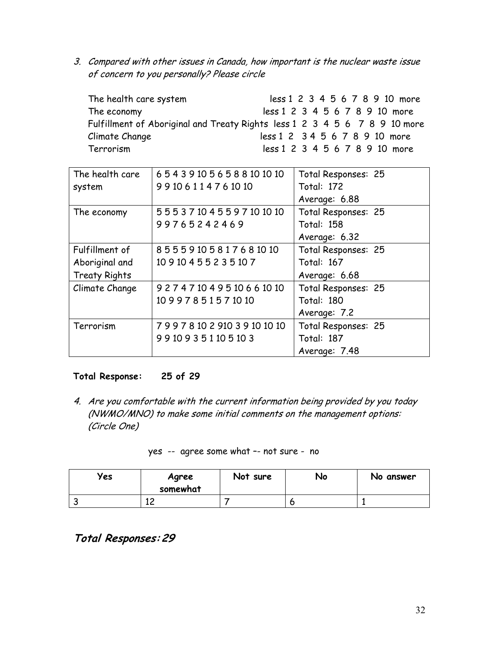3. Compared with other issues in Canada, how important is the nuclear waste issue of concern to you personally? Please circle

| The health care system                                                     | less 1 2 3 4 5 6 7 8 9 10 more |
|----------------------------------------------------------------------------|--------------------------------|
| The economy                                                                | less 1 2 3 4 5 6 7 8 9 10 more |
| Fulfillment of Aboriginal and Treaty Rights less 1 2 3 4 5 6 7 8 9 10 more |                                |
| Climate Change                                                             | less 1 2 3 4 5 6 7 8 9 10 more |
| Terrorism                                                                  | less 1 2 3 4 5 6 7 8 9 10 more |

| The health care      | 654391056588101010              | Total Responses: 25 |
|----------------------|---------------------------------|---------------------|
| system               | 99106114761010                  | <b>Total: 172</b>   |
|                      |                                 | Average: 6.88       |
| The economy          | 555371045597101010              | Total Responses: 25 |
|                      | 99765242469                     | <b>Total: 158</b>   |
|                      |                                 | Average: 6.32       |
| Fulfillment of       | 85559105817681010               | Total Responses: 25 |
| Aboriginal and       | 10910455235107                  | <b>Total: 167</b>   |
| <b>Treaty Rights</b> |                                 | Average: 6.68       |
| Climate Change       | 9 2 7 4 7 10 4 9 5 10 6 6 10 10 | Total Responses: 25 |
|                      | 10997851571010                  | Total: 180          |
|                      |                                 | Average: 7.2        |
| Terrorism            | 7997810291039101010             | Total Responses: 25 |
|                      | 99109351105103                  | Total: 187          |
|                      |                                 | Average: 7.48       |

#### **Total Response: 25 of 29**

4. Are you comfortable with the current information being provided by you today (NWMO/MNO) to make some initial comments on the management options: (Circle One)

|  |  | yes -- agree some what -- not sure - no |  |
|--|--|-----------------------------------------|--|
|--|--|-----------------------------------------|--|

| Yes | Agree<br>somewhat | Not sure | No | No answer |
|-----|-------------------|----------|----|-----------|
|     | 10<br>ᆠᆫ          |          |    |           |

**Total Responses: 29**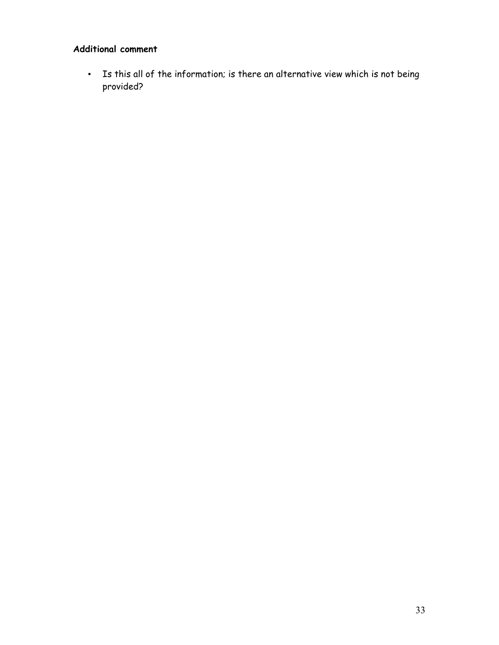### **Additional comment**

▪ Is this all of the information; is there an alternative view which is not being provided?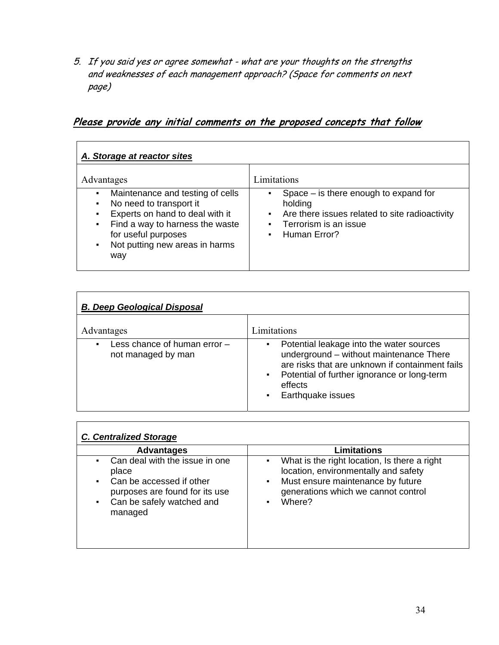5. If you said yes or agree somewhat - what are your thoughts on the strengths and weaknesses of each management approach? (Space for comments on next page)

**Please provide any initial comments on the proposed concepts that follow**

| A. Storage at reactor sites                                                                                                                                                                                      |                                                                                                                                                                                                                              |  |  |  |
|------------------------------------------------------------------------------------------------------------------------------------------------------------------------------------------------------------------|------------------------------------------------------------------------------------------------------------------------------------------------------------------------------------------------------------------------------|--|--|--|
| Advantages                                                                                                                                                                                                       | Limitations                                                                                                                                                                                                                  |  |  |  |
| Maintenance and testing of cells<br>٠<br>No need to transport it<br>Experts on hand to deal with it<br>Find a way to harness the waste<br>٠<br>for useful purposes<br>Not putting new areas in harms<br>٠<br>way | Space $-$ is there enough to expand for<br>$\blacksquare$<br>holding<br>Are there issues related to site radioactivity<br>$\mathbf{H}$ .<br>Terrorism is an issue<br>$\mathbf{m}$ .<br><b>Human Error?</b><br>$\blacksquare$ |  |  |  |

| <b>B. Deep Geological Disposal</b>                 |                                                                                                                                                                                                                                                                              |  |  |  |
|----------------------------------------------------|------------------------------------------------------------------------------------------------------------------------------------------------------------------------------------------------------------------------------------------------------------------------------|--|--|--|
| Advantages                                         | Limitations                                                                                                                                                                                                                                                                  |  |  |  |
| Less chance of human error -<br>not managed by man | Potential leakage into the water sources<br>$\blacksquare$<br>underground - without maintenance There<br>are risks that are unknown if containment fails<br>Potential of further ignorance or long-term<br>$\sim$ 10 $\pm$<br>effects<br>Earthquake issues<br>$\blacksquare$ |  |  |  |

| <b>C. Centralized Storage</b>                                                                                                                      |                                                                                                                                                                                      |
|----------------------------------------------------------------------------------------------------------------------------------------------------|--------------------------------------------------------------------------------------------------------------------------------------------------------------------------------------|
| <b>Advantages</b>                                                                                                                                  | <b>Limitations</b>                                                                                                                                                                   |
| Can deal with the issue in one<br>place<br>Can be accessed if other<br>purposes are found for its use<br>Can be safely watched and<br>٠<br>managed | What is the right location, Is there a right<br>٠<br>location, environmentally and safety<br>Must ensure maintenance by future<br>٠<br>generations which we cannot control<br>Where? |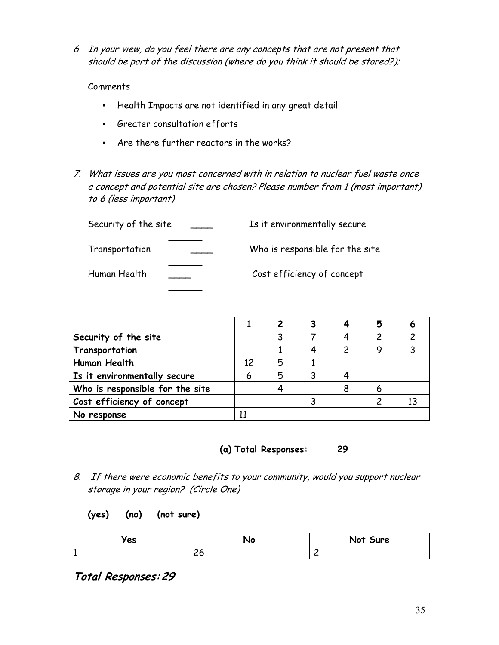6. In your view, do you feel there are any concepts that are not present that should be part of the discussion (where do you think it should be stored?);

#### Comments

- Health Impacts are not identified in any great detail
- Greater consultation efforts
- Are there further reactors in the works?
- 7. What issues are you most concerned with in relation to nuclear fuel waste once a concept and potential site are chosen? Please number from 1 (most important) to 6 (less important)

| Security of the site | Is it environmentally secure    |
|----------------------|---------------------------------|
| Transportation       | Who is responsible for the site |
| Human Health         | Cost efficiency of concept      |
|                      |                                 |

|                                 |    |   |  | 5 |  |
|---------------------------------|----|---|--|---|--|
| Security of the site            |    |   |  |   |  |
| Transportation                  |    |   |  |   |  |
| Human Health                    | 12 | 5 |  |   |  |
| Is it environmentally secure    | 6  | 5 |  |   |  |
| Who is responsible for the site |    |   |  |   |  |
| Cost efficiency of concept      |    |   |  |   |  |
| No response                     |    |   |  |   |  |



- 8. If there were economic benefits to your community, would you support nuclear storage in your region? (Circle One)
	- **(yes) (no) (not sure)**

| 'es | Nc          | Not<br>Sure |
|-----|-------------|-------------|
|     | $\sim$<br>∼ | -           |

**Total Responses: 29**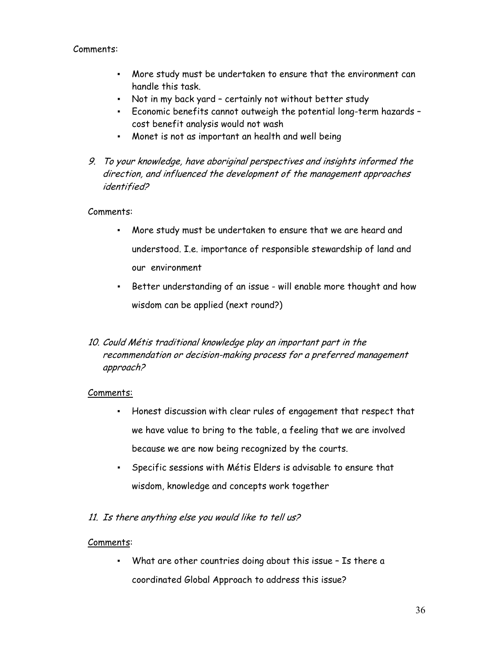#### Comments:

- More study must be undertaken to ensure that the environment can handle this task.
- Not in my back yard certainly not without better study
- Economic benefits cannot outweigh the potential long-term hazards cost benefit analysis would not wash
- Monet is not as important an health and well being
- 9. To your knowledge, have aboriginal perspectives and insights informed the direction, and influenced the development of the management approaches identified?

#### Comments:

- More study must be undertaken to ensure that we are heard and understood. I.e. importance of responsible stewardship of land and our environment
- Better understanding of an issue will enable more thought and how wisdom can be applied (next round?)
- 10. Could Métis traditional knowledge play an important part in the recommendation or decision-making process for a preferred management approach?

#### Comments:

- Honest discussion with clear rules of engagement that respect that we have value to bring to the table, a feeling that we are involved because we are now being recognized by the courts.
- Specific sessions with Métis Elders is advisable to ensure that wisdom, knowledge and concepts work together
- 11. Is there anything else you would like to tell us?

#### Comments:

▪ What are other countries doing about this issue – Is there a coordinated Global Approach to address this issue?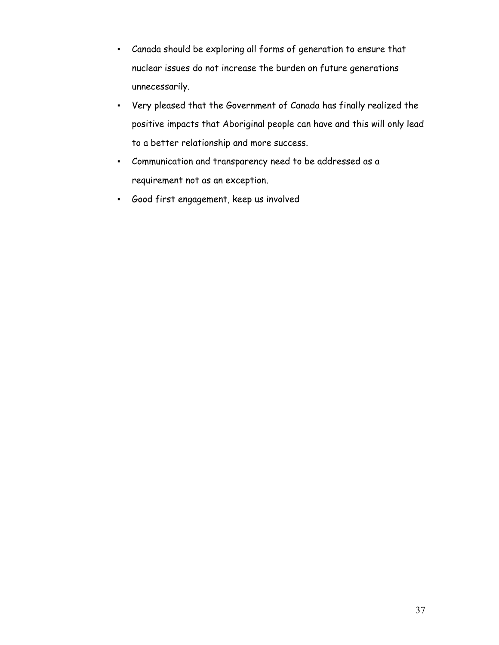- Canada should be exploring all forms of generation to ensure that nuclear issues do not increase the burden on future generations unnecessarily.
- Very pleased that the Government of Canada has finally realized the positive impacts that Aboriginal people can have and this will only lead to a better relationship and more success.
- Communication and transparency need to be addressed as a requirement not as an exception.
- Good first engagement, keep us involved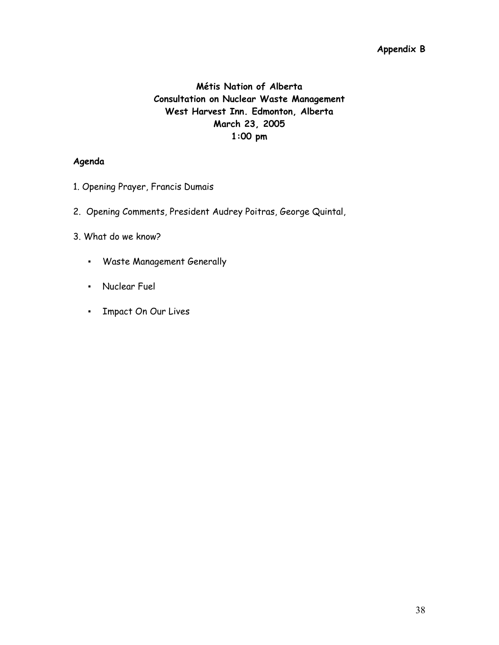#### **Appendix B**

### **Métis Nation of Alberta Consultation on Nuclear Waste Management West Harvest Inn. Edmonton, Alberta March 23, 2005 1:00 pm**

#### **Agenda**

- 1. Opening Prayer, Francis Dumais
- 2. Opening Comments, President Audrey Poitras, George Quintal,
- 3. What do we know?
	- Waste Management Generally
	- Nuclear Fuel
	- Impact On Our Lives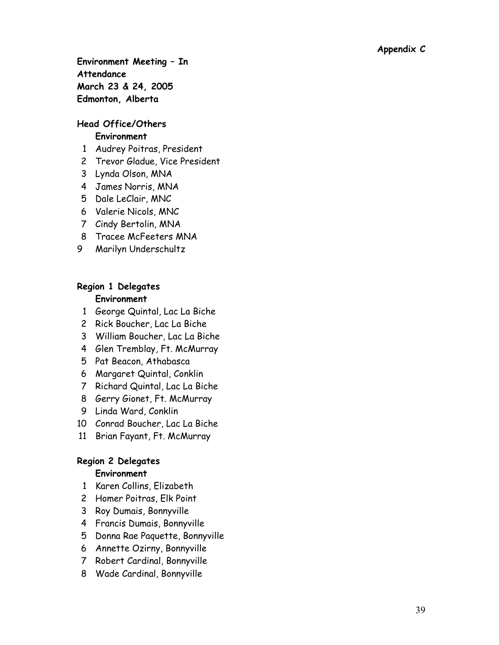**Environment Meeting – In Attendance March 23 & 24, 2005 Edmonton, Alberta** 

# **Head Office/Others**

### **Environment**

- 1 Audrey Poitras, President
- 2 Trevor Gladue, Vice President
- 3 Lynda Olson, MNA
- 4 James Norris, MNA
- 5 Dale LeClair, MNC
- 6 Valerie Nicols, MNC
- 7 Cindy Bertolin, MNA
- 8 Tracee McFeeters MNA
- 9 Marilyn Underschultz

#### **Region 1 Delegates Environment**

- 1 George Quintal, Lac La Biche
- 2 Rick Boucher, Lac La Biche
- 3 William Boucher, Lac La Biche
- 4 Glen Tremblay, Ft. McMurray
- 5 Pat Beacon, Athabasca
- 6 Margaret Quintal, Conklin
- 7 Richard Quintal, Lac La Biche
- 8 Gerry Gionet, Ft. McMurray
- 9 Linda Ward, Conklin
- 10 Conrad Boucher, Lac La Biche
- 11 Brian Fayant, Ft. McMurray

#### **Region 2 Delegates**

#### **Environment**

- 1 Karen Collins, Elizabeth
- 2 Homer Poitras, Elk Point
- 3 Roy Dumais, Bonnyville
- 4 Francis Dumais, Bonnyville
- 5 Donna Rae Paquette, Bonnyville
- 6 Annette Ozirny, Bonnyville
- 7 Robert Cardinal, Bonnyville
- 8 Wade Cardinal, Bonnyville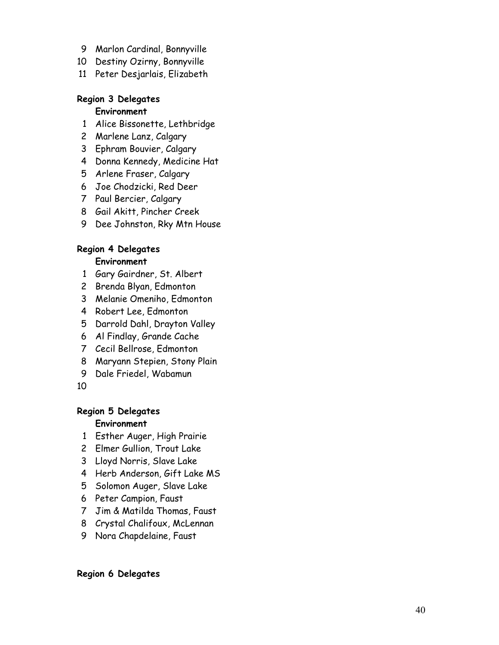- 9 Marlon Cardinal, Bonnyville
- 10 Destiny Ozirny, Bonnyville
- 11 Peter Desjarlais, Elizabeth

#### **Region 3 Delegates**

#### **Environment**

- 1 Alice Bissonette, Lethbridge
- 2 Marlene Lanz, Calgary
- 3 Ephram Bouvier, Calgary
- 4 Donna Kennedy, Medicine Hat
- 5 Arlene Fraser, Calgary
- 6 Joe Chodzicki, Red Deer
- 7 Paul Bercier, Calgary
- 8 Gail Akitt, Pincher Creek
- 9 Dee Johnston, Rky Mtn House

# **Region 4 Delegates**

### **Environment**

- 1 Gary Gairdner, St. Albert
- 2 Brenda Blyan, Edmonton
- 3 Melanie Omeniho, Edmonton
- 4 Robert Lee, Edmonton
- 5 Darrold Dahl, Drayton Valley
- 6 Al Findlay, Grande Cache
- 7 Cecil Bellrose, Edmonton
- 8 Maryann Stepien, Stony Plain
- 9 Dale Friedel, Wabamun
- 10

#### **Region 5 Delegates**

#### **Environment**

- 1 Esther Auger, High Prairie
- 2 Elmer Gullion, Trout Lake
- 3 Lloyd Norris, Slave Lake
- 4 Herb Anderson, Gift Lake MS
- 5 Solomon Auger, Slave Lake
- 6 Peter Campion, Faust
- 7 Jim & Matilda Thomas, Faust
- 8 Crystal Chalifoux, McLennan
- 9 Nora Chapdelaine, Faust

#### **Region 6 Delegates**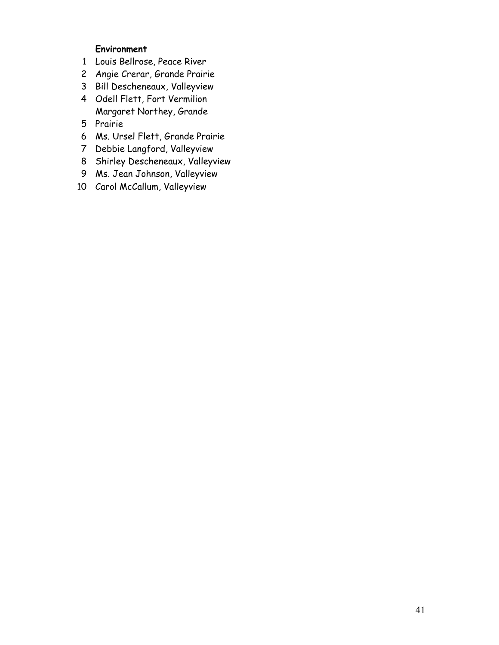#### **Environment**

- 1 Louis Bellrose, Peace River
- 2 Angie Crerar, Grande Prairie
- 3 Bill Descheneaux, Valleyview
- 4 Odell Flett, Fort Vermilion Margaret Northey, Grande
- 5 Prairie
- 6 Ms. Ursel Flett, Grande Prairie
- 7 Debbie Langford, Valleyview
- 8 Shirley Descheneaux, Valleyview
- 9 Ms. Jean Johnson, Valleyview
- 10 Carol McCallum, Valleyview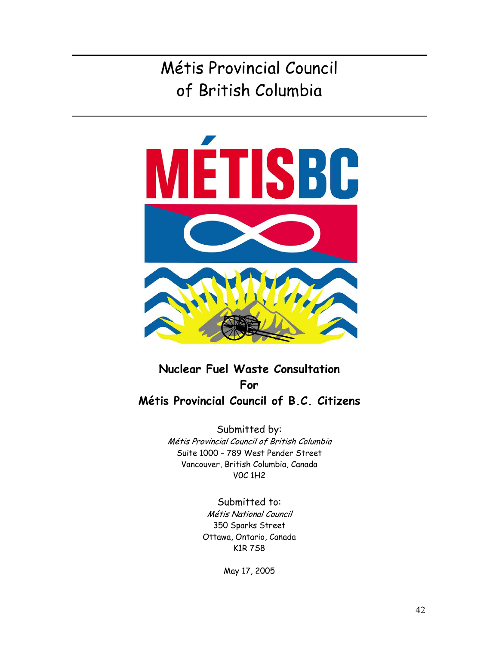

**Nuclear Fuel Waste Consultation For Métis Provincial Council of B.C. Citizens** 

> Submitted by: Métis Provincial Council of British Columbia Suite 1000 – 789 West Pender Street Vancouver, British Columbia, Canada V0C 1H2

> > Submitted to: Métis National Council 350 Sparks Street Ottawa, Ontario, Canada K1R 7S8

> > > May 17, 2005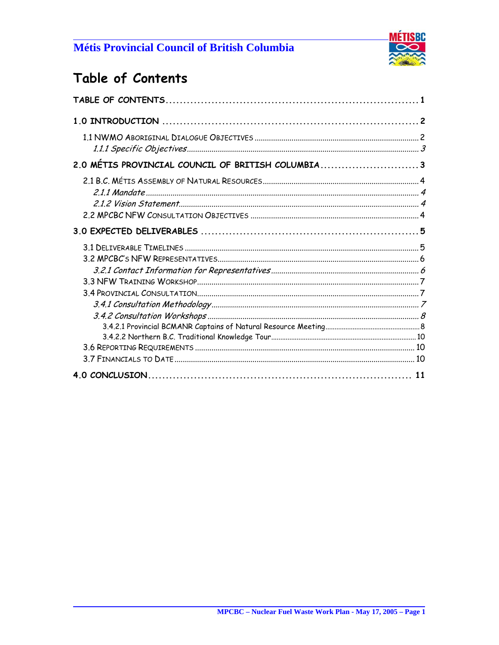

# Table of Contents

| 2.0 MÉTIS PROVINCIAL COUNCIL OF BRITISH COLUMBIA3 |  |
|---------------------------------------------------|--|
|                                                   |  |
|                                                   |  |
|                                                   |  |
|                                                   |  |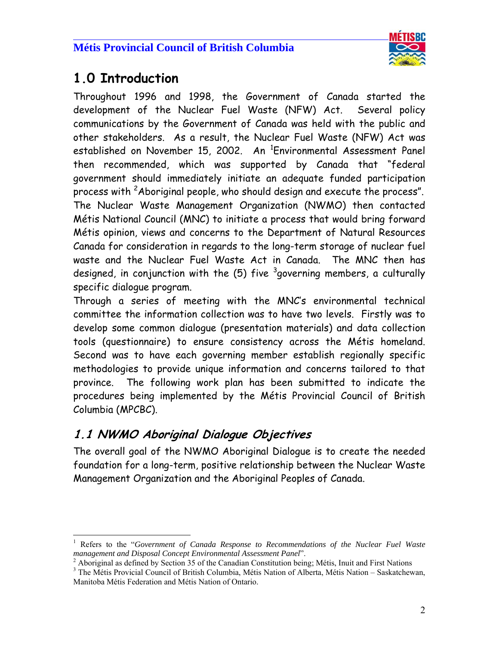

# **1.0 Introduction**

 $\overline{a}$ 

 $\overline{a}$ 

Throughout 1996 and 1998, the Government of Canada started the development of the Nuclear Fuel Waste (NFW) Act. Several policy communications by the Government of Canada was held with the public and other stakeholders. As a result, the Nuclear Fuel Waste (NFW) Act was established on November 15, 2002. An <sup>1</sup>Environmental Assessment Panel then recommended, which was supported by Canada that "federal government should immediately initiate an adequate funded participation process with <sup>2</sup>Aboriginal people, who should design and execute the process". The Nuclear Waste Management Organization (NWMO) then contacted Métis National Council (MNC) to initiate a process that would bring forward Métis opinion, views and concerns to the Department of Natural Resources Canada for consideration in regards to the long-term storage of nuclear fuel waste and the Nuclear Fuel Waste Act in Canada. The MNC then has designed, in conjunction with the (5) five <sup>3</sup>governing members, a culturally specific dialogue program.

Through a series of meeting with the MNC's environmental technical committee the information collection was to have two levels. Firstly was to develop some common dialogue (presentation materials) and data collection tools (questionnaire) to ensure consistency across the Métis homeland. Second was to have each governing member establish regionally specific methodologies to provide unique information and concerns tailored to that province. The following work plan has been submitted to indicate the procedures being implemented by the Métis Provincial Council of British Columbia (MPCBC).

## **1.1 NWMO Aboriginal Dialogue Objectives**

The overall goal of the NWMO Aboriginal Dialogue is to create the needed foundation for a long-term, positive relationship between the Nuclear Waste Management Organization and the Aboriginal Peoples of Canada.

<sup>&</sup>lt;sup>1</sup> Refers to the "Government of Canada Response to Recommendations of the Nuclear Fuel Waste *management and Disposal Concept Environmental Assessment Panel*". 2

<sup>&</sup>lt;sup>2</sup> Aboriginal as defined by Section 35 of the Canadian Constitution being; Métis, Inuit and First Nations

<sup>&</sup>lt;sup>3</sup> The Métis Provicial Council of British Columbia, Métis Nation of Alberta, Métis Nation - Saskatchewan, Manitoba Métis Federation and Métis Nation of Ontario.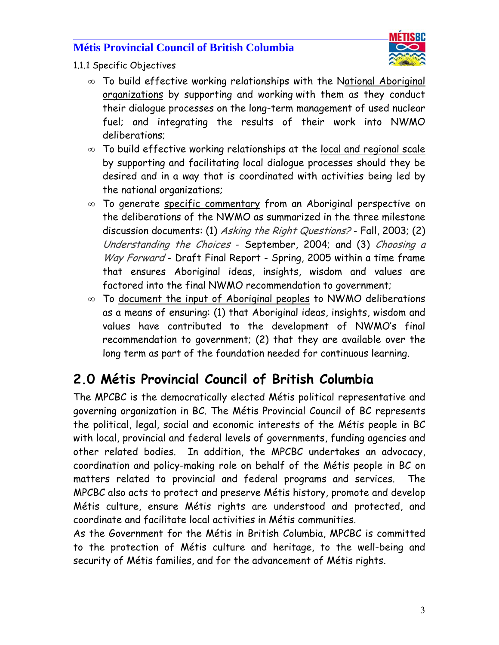#### $\overline{a}$ **Métis Provincial Council of British Columbia**



- 1.1.1 Specific Objectives
	- ∞ To build effective working relationships with the National Aboriginal organizations by supporting and working with them as they conduct their dialogue processes on the long-term management of used nuclear fuel; and integrating the results of their work into NWMO deliberations;
	- ∞ To build effective working relationships at the local and regional scale by supporting and facilitating local dialogue processes should they be desired and in a way that is coordinated with activities being led by the national organizations;
	- ∞ To generate specific commentary from an Aboriginal perspective on the deliberations of the NWMO as summarized in the three milestone discussion documents: (1) Asking the Right Questions? - Fall, 2003; (2) Understanding the Choices - September, 2004; and (3) Choosing a Way Forward - Draft Final Report - Spring, 2005 within a time frame that ensures Aboriginal ideas, insights, wisdom and values are factored into the final NWMO recommendation to government;
	- ∞ To document the input of Aboriginal peoples to NWMO deliberations as a means of ensuring: (1) that Aboriginal ideas, insights, wisdom and values have contributed to the development of NWMO's final recommendation to government; (2) that they are available over the long term as part of the foundation needed for continuous learning.

# **2.0 Métis Provincial Council of British Columbia**

The MPCBC is the democratically elected Métis political representative and governing organization in BC. The Métis Provincial Council of BC represents the political, legal, social and economic interests of the Métis people in BC with local, provincial and federal levels of governments, funding agencies and other related bodies. In addition, the MPCBC undertakes an advocacy, coordination and policy-making role on behalf of the Métis people in BC on matters related to provincial and federal programs and services. The MPCBC also acts to protect and preserve Métis history, promote and develop Métis culture, ensure Métis rights are understood and protected, and coordinate and facilitate local activities in Métis communities.

As the Government for the Métis in British Columbia, MPCBC is committed to the protection of Métis culture and heritage, to the well-being and security of Métis families, and for the advancement of Métis rights.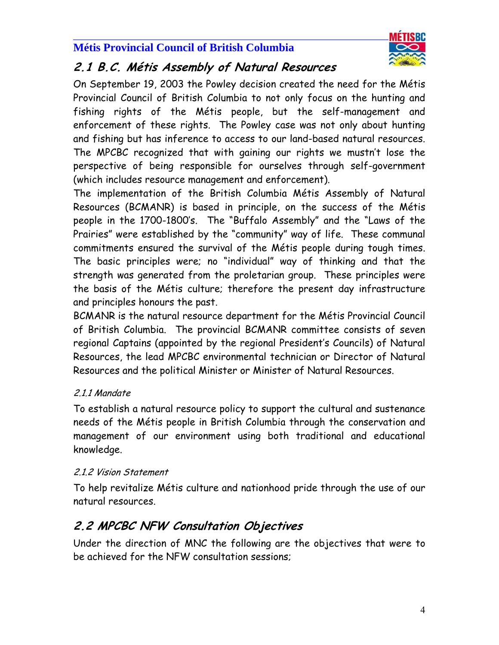#### $\overline{a}$ **Métis Provincial Council of British Columbia**



## **2.1 B.C. Métis Assembly of Natural Resources**

On September 19, 2003 the Powley decision created the need for the Métis Provincial Council of British Columbia to not only focus on the hunting and fishing rights of the Métis people, but the self-management and enforcement of these rights. The Powley case was not only about hunting and fishing but has inference to access to our land-based natural resources. The MPCBC recognized that with gaining our rights we mustn't lose the perspective of being responsible for ourselves through self-government (which includes resource management and enforcement).

The implementation of the British Columbia Métis Assembly of Natural Resources (BCMANR) is based in principle, on the success of the Métis people in the 1700-1800's. The "Buffalo Assembly" and the "Laws of the Prairies" were established by the "community" way of life. These communal commitments ensured the survival of the Métis people during tough times. The basic principles were; no "individual" way of thinking and that the strength was generated from the proletarian group. These principles were the basis of the Métis culture; therefore the present day infrastructure and principles honours the past.

BCMANR is the natural resource department for the Métis Provincial Council of British Columbia. The provincial BCMANR committee consists of seven regional Captains (appointed by the regional President's Councils) of Natural Resources, the lead MPCBC environmental technician or Director of Natural Resources and the political Minister or Minister of Natural Resources.

## 2.1.1 Mandate

To establish a natural resource policy to support the cultural and sustenance needs of the Métis people in British Columbia through the conservation and management of our environment using both traditional and educational knowledge.

## 2.1.2 Vision Statement

To help revitalize Métis culture and nationhood pride through the use of our natural resources.

# **2.2 MPCBC NFW Consultation Objectives**

Under the direction of MNC the following are the objectives that were to be achieved for the NFW consultation sessions;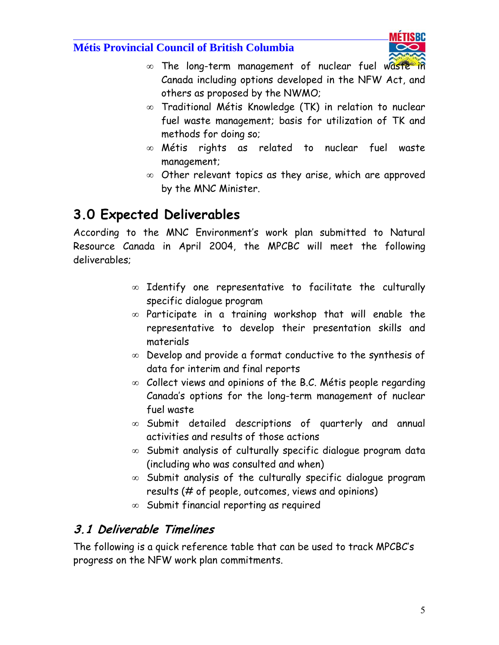$\overline{a}$ 



- ∞ The long-term management of nuclear fuel waste in Canada including options developed in the NFW Act, and others as proposed by the NWMO;
- ∞ Traditional Métis Knowledge (TK) in relation to nuclear fuel waste management; basis for utilization of TK and methods for doing so;
- ∞ Métis rights as related to nuclear fuel waste management;
- ∞ Other relevant topics as they arise, which are approved by the MNC Minister.

# **3.0 Expected Deliverables**

According to the MNC Environment's work plan submitted to Natural Resource Canada in April 2004, the MPCBC will meet the following deliverables;

- ∞ Identify one representative to facilitate the culturally specific dialogue program
- ∞ Participate in a training workshop that will enable the representative to develop their presentation skills and materials
- ∞ Develop and provide a format conductive to the synthesis of data for interim and final reports
- ∞ Collect views and opinions of the B.C. Métis people regarding Canada's options for the long-term management of nuclear fuel waste
- ∞ Submit detailed descriptions of quarterly and annual activities and results of those actions
- ∞ Submit analysis of culturally specific dialogue program data (including who was consulted and when)
- ∞ Submit analysis of the culturally specific dialogue program results (# of people, outcomes, views and opinions)
- ∞ Submit financial reporting as required

## **3.1 Deliverable Timelines**

The following is a quick reference table that can be used to track MPCBC's progress on the NFW work plan commitments.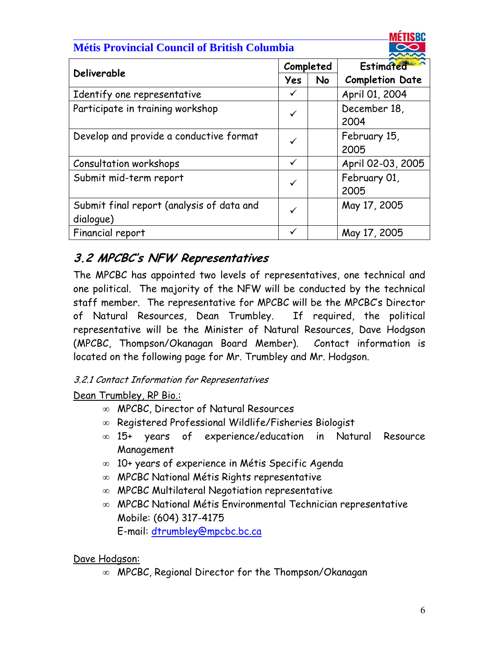#### $\overline{a}$ **Métis Provincial Council of British Columbia**



| Deliverable                                            |              | Completed | Estimated              |  |
|--------------------------------------------------------|--------------|-----------|------------------------|--|
|                                                        | Yes          | <b>No</b> | <b>Completion Date</b> |  |
| Identify one representative                            | $\checkmark$ |           | April 01, 2004         |  |
| Participate in training workshop                       | $\checkmark$ |           | December 18,<br>2004   |  |
| Develop and provide a conductive format                | $\checkmark$ |           | February 15,<br>2005   |  |
| Consultation workshops                                 | $\checkmark$ |           | April 02-03, 2005      |  |
| Submit mid-term report                                 | ✓            |           | February 01,<br>2005   |  |
| Submit final report (analysis of data and<br>dialogue) | $\checkmark$ |           | May 17, 2005           |  |
| Financial report                                       | ✓            |           | May 17, 2005           |  |

# **3.2 MPCBC's NFW Representatives**

The MPCBC has appointed two levels of representatives, one technical and one political. The majority of the NFW will be conducted by the technical staff member. The representative for MPCBC will be the MPCBC's Director of Natural Resources, Dean Trumbley. If required, the political representative will be the Minister of Natural Resources, Dave Hodgson (MPCBC, Thompson/Okanagan Board Member). Contact information is located on the following page for Mr. Trumbley and Mr. Hodgson.

## 3.2.1 Contact Information for Representatives

## Dean Trumbley, RP Bio.:

- ∞ MPCBC, Director of Natural Resources
- ∞ Registered Professional Wildlife/Fisheries Biologist
- ∞ 15+ years of experience/education in Natural Resource Management
- ∞ 10+ years of experience in Métis Specific Agenda
- ∞ MPCBC National Métis Rights representative
- ∞ MPCBC Multilateral Negotiation representative
- ∞ MPCBC National Métis Environmental Technician representative Mobile: (604) 317-4175 E-mail: dtrumbley@mpcbc.bc.ca

## Dave Hodgson:

∞ MPCBC, Regional Director for the Thompson/Okanagan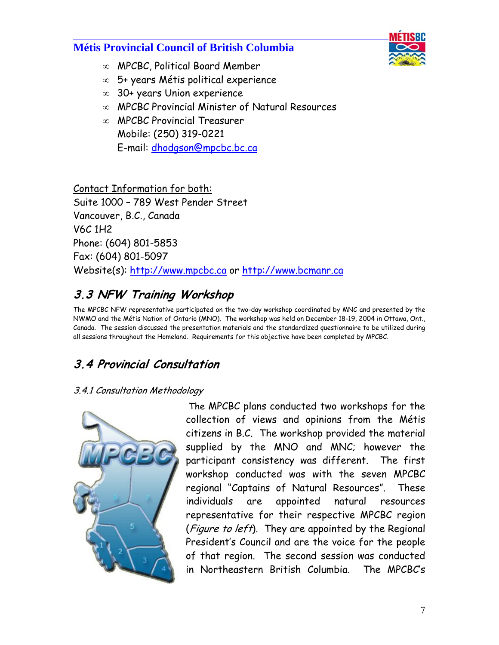$\overline{a}$ 



- ∞ MPCBC, Political Board Member
- ∞ 5+ years Métis political experience
- ∞ 30+ years Union experience
- ∞ MPCBC Provincial Minister of Natural Resources
- ∞ MPCBC Provincial Treasurer Mobile: (250) 319-0221 E-mail: dhodgson@mpcbc.bc.ca

Contact Information for both: Suite 1000 – 789 West Pender Street Vancouver, B.C., Canada V6C 1H2 Phone: (604) 801-5853 Fax: (604) 801-5097 Website(s): http://www.mpcbc.ca or http://www.bcmanr.ca

# **3.3 NFW Training Workshop**

The MPCBC NFW representative participated on the two-day workshop coordinated by MNC and presented by the NWMO and the Métis Nation of Ontario (MNO). The workshop was held on December 18-19, 2004 in Ottawa, Ont., Canada. The session discussed the presentation materials and the standardized questionnaire to be utilized during all sessions throughout the Homeland. Requirements for this objective have been completed by MPCBC.

# **3.4 Provincial Consultation**

## 3.4.1 Consultation Methodology



 The MPCBC plans conducted two workshops for the collection of views and opinions from the Métis citizens in B.C. The workshop provided the material supplied by the MNO and MNC; however the participant consistency was different. The first workshop conducted was with the seven MPCBC regional "Captains of Natural Resources". These individuals are appointed natural resources representative for their respective MPCBC region (*Figure to left*). They are appointed by the Regional President's Council and are the voice for the people of that region. The second session was conducted in Northeastern British Columbia. The MPCBC's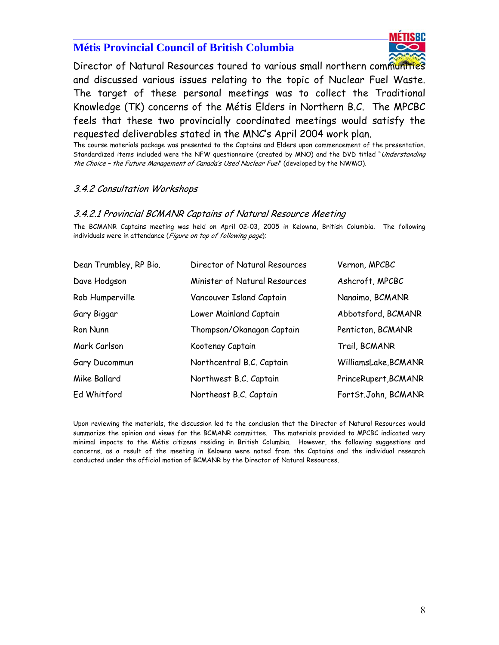

Director of Natural Resources toured to various small northern communities and discussed various issues relating to the topic of Nuclear Fuel Waste. The target of these personal meetings was to collect the Traditional Knowledge (TK) concerns of the Métis Elders in Northern B.C. The MPCBC feels that these two provincially coordinated meetings would satisfy the requested deliverables stated in the MNC's April 2004 work plan.

The course materials package was presented to the Captains and Elders upon commencement of the presentation. Standardized items included were the NFW questionnaire (created by MNO) and the DVD titled "Understanding the Choice – the Future Management of Canada's Used Nuclear Fuel" (developed by the NWMO).

#### 3.4.2 Consultation Workshops

 $\overline{a}$ 

#### 3.4.2.1 Provincial BCMANR Captains of Natural Resource Meeting

The BCMANR Captains meeting was held on April 02-03, 2005 in Kelowna, British Columbia. The following individuals were in attendance (Figure on top of following page);

| Dean Trumbley, RP Bio. | Director of Natural Resources | Vernon, MPCBC        |
|------------------------|-------------------------------|----------------------|
| Dave Hodgson           | Minister of Natural Resources | Ashcroft, MPCBC      |
| Rob Humperville        | Vancouver Island Captain      | Nanaimo, BCMANR      |
| Gary Biggar            | Lower Mainland Captain        | Abbotsford, BCMANR   |
| Ron Nunn               | Thompson/Okanagan Captain     | Penticton, BCMANR    |
| Mark Carlson           | Kootenay Captain              | Trail, BCMANR        |
| Gary Ducommun          | Northcentral B.C. Captain     | WilliamsLake, BCMANR |
| Mike Ballard           | Northwest B.C. Captain        | PrinceRupert, BCMANR |
| Ed Whitford            | Northeast B.C. Captain        | FortSt.John, BCMANR  |

Upon reviewing the materials, the discussion led to the conclusion that the Director of Natural Resources would summarize the opinion and views for the BCMANR committee. The materials provided to MPCBC indicated very minimal impacts to the Métis citizens residing in British Columbia. However, the following suggestions and concerns, as a result of the meeting in Kelowna were noted from the Captains and the individual research conducted under the official motion of BCMANR by the Director of Natural Resources.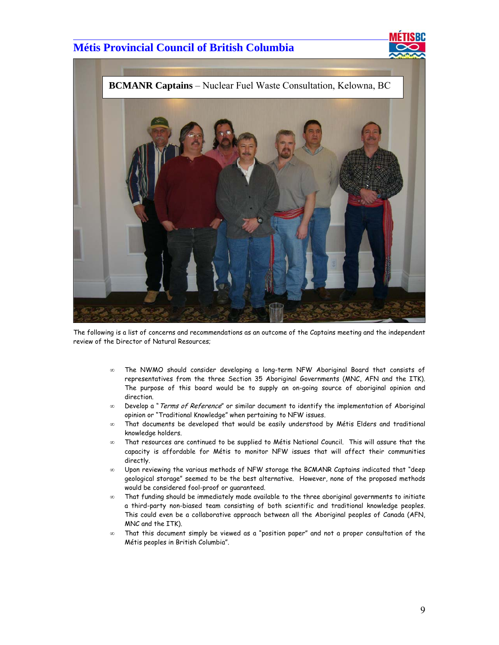$\overline{a}$ 





The following is a list of concerns and recommendations as an outcome of the Captains meeting and the independent review of the Director of Natural Resources;

- ∞ The NWMO should consider developing a long-term NFW Aboriginal Board that consists of representatives from the three Section 35 Aboriginal Governments (MNC, AFN and the ITK). The purpose of this board would be to supply an on-going source of aboriginal opinion and direction.
- ∞ Develop a "Terms of Reference" or similar document to identify the implementation of Aboriginal opinion or "Traditional Knowledge" when pertaining to NFW issues.
- ∞ That documents be developed that would be easily understood by Métis Elders and traditional knowledge holders.
- ∞ That resources are continued to be supplied to Métis National Council. This will assure that the capacity is affordable for Métis to monitor NFW issues that will affect their communities directly.
- ∞ Upon reviewing the various methods of NFW storage the BCMANR Captains indicated that "deep geological storage" seemed to be the best alternative. However, none of the proposed methods would be considered fool-proof or guaranteed.
- ∞ That funding should be immediately made available to the three aboriginal governments to initiate a third-party non-biased team consisting of both scientific and traditional knowledge peoples. This could even be a collaborative approach between all the Aboriginal peoples of Canada (AFN, MNC and the ITK).
- ∞ That this document simply be viewed as a "position paper" and not a proper consultation of the Métis peoples in British Columbia".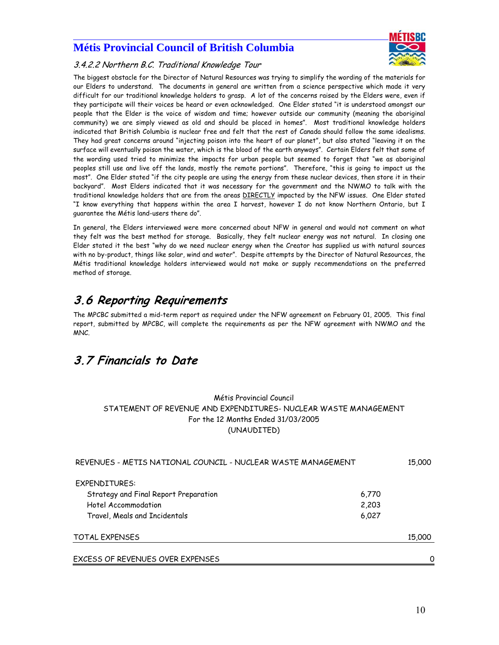

#### 3.4.2.2 Northern B.C. Traditional Knowledge Tour

 $\overline{a}$ 

The biggest obstacle for the Director of Natural Resources was trying to simplify the wording of the materials for our Elders to understand. The documents in general are written from a science perspective which made it very difficult for our traditional knowledge holders to grasp. A lot of the concerns raised by the Elders were, even if they participate will their voices be heard or even acknowledged. One Elder stated "it is understood amongst our people that the Elder is the voice of wisdom and time; however outside our community (meaning the aboriginal community) we are simply viewed as old and should be placed in homes". Most traditional knowledge holders indicated that British Columbia is nuclear free and felt that the rest of Canada should follow the same idealisms. They had great concerns around "injecting poison into the heart of our planet", but also stated "leaving it on the surface will eventually poison the water, which is the blood of the earth anyways". Certain Elders felt that some of the wording used tried to minimize the impacts for urban people but seemed to forget that "we as aboriginal peoples still use and live off the lands, mostly the remote portions". Therefore, "this is going to impact us the most". One Elder stated "if the city people are using the energy from these nuclear devices, then store it in their backyard". Most Elders indicated that it was necessary for the government and the NWMO to talk with the traditional knowledge holders that are from the areas DIRECTLY impacted by the NFW issues. One Elder stated "I know everything that happens within the area I harvest, however I do not know Northern Ontario, but I guarantee the Métis land-users there do".

In general, the Elders interviewed were more concerned about NFW in general and would not comment on what they felt was the best method for storage. Basically, they felt nuclear energy was not natural. In closing one Elder stated it the best "why do we need nuclear energy when the Creator has supplied us with natural sources with no by-product, things like solar, wind and water". Despite attempts by the Director of Natural Resources, the Métis traditional knowledge holders interviewed would not make or supply recommendations on the preferred method of storage.

## **3.6 Reporting Requirements**

The MPCBC submitted a mid-term report as required under the NFW agreement on February 01, 2005. This final report, submitted by MPCBC, will complete the requirements as per the NFW agreement with NWMO and the MNC.

## **3.7 Financials to Date**

#### Métis Provincial Council STATEMENT OF REVENUE AND EXPENDITURES- NUCLEAR WASTE MANAGEMENT For the 12 Months Ended 31/03/2005 (UNAUDITED)

| REVENUES - METIS NATIONAL COUNCIL - NUCLEAR WASTE MANAGEMENT |       |        |
|--------------------------------------------------------------|-------|--------|
| EXPENDITURES:                                                |       |        |
| Strategy and Final Report Preparation                        | 6,770 |        |
| Hotel Accommodation                                          | 2,203 |        |
| Travel, Meals and Incidentals                                | 6,027 |        |
| <b>TOTAL EXPENSES</b>                                        |       | 15,000 |
| EXCESS OF REVENUES OVER EXPENSES                             |       | Ω      |